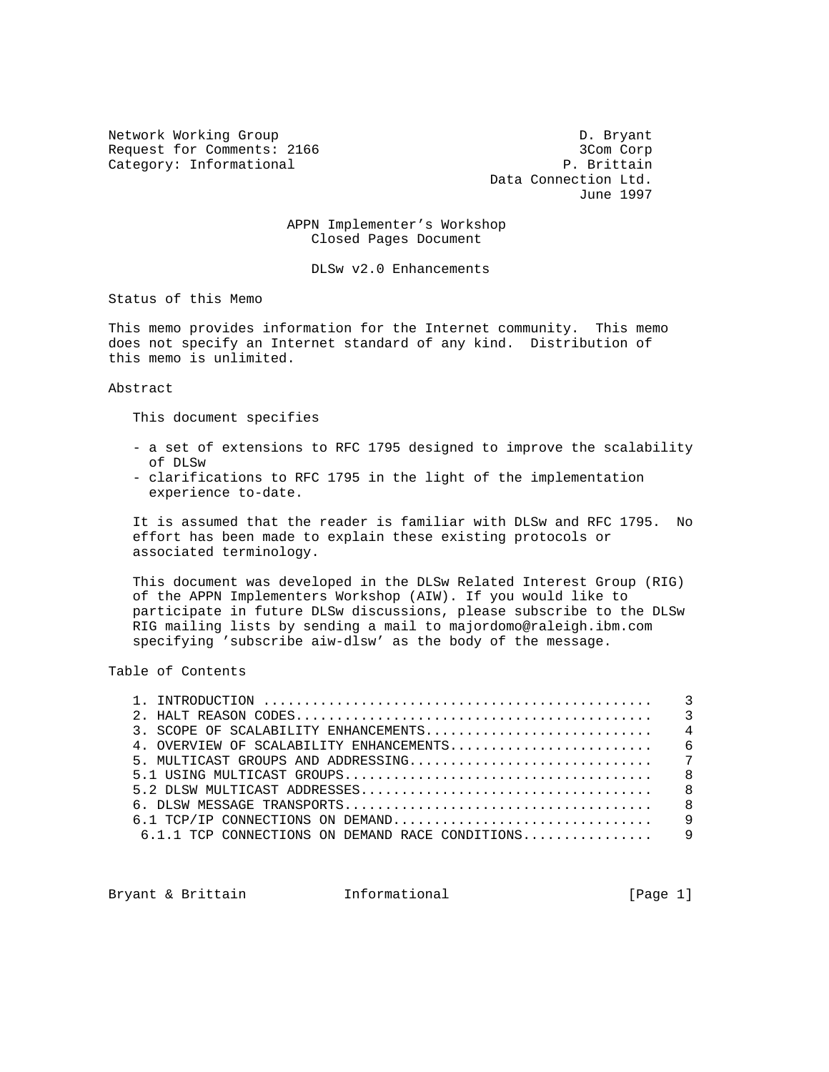Network Working Group Description of the D. Bryant Request for Comments: 2166 3Com Corp Category: Informational P. Brittain

 Data Connection Ltd. June 1997

 APPN Implementer's Workshop Closed Pages Document

DLSw v2.0 Enhancements

Status of this Memo

This memo provides information for the Internet community. This memo does not specify an Internet standard of any kind. Distribution of this memo is unlimited.

Abstract

This document specifies

- a set of extensions to RFC 1795 designed to improve the scalability of DLSw
- clarifications to RFC 1795 in the light of the implementation experience to-date.

 It is assumed that the reader is familiar with DLSw and RFC 1795. No effort has been made to explain these existing protocols or associated terminology.

 This document was developed in the DLSw Related Interest Group (RIG) of the APPN Implementers Workshop (AIW). If you would like to participate in future DLSw discussions, please subscribe to the DLSw RIG mailing lists by sending a mail to majordomo@raleigh.ibm.com specifying 'subscribe aiw-dlsw' as the body of the message.

Table of Contents

Bryant & Brittain **Informational** [Page 1]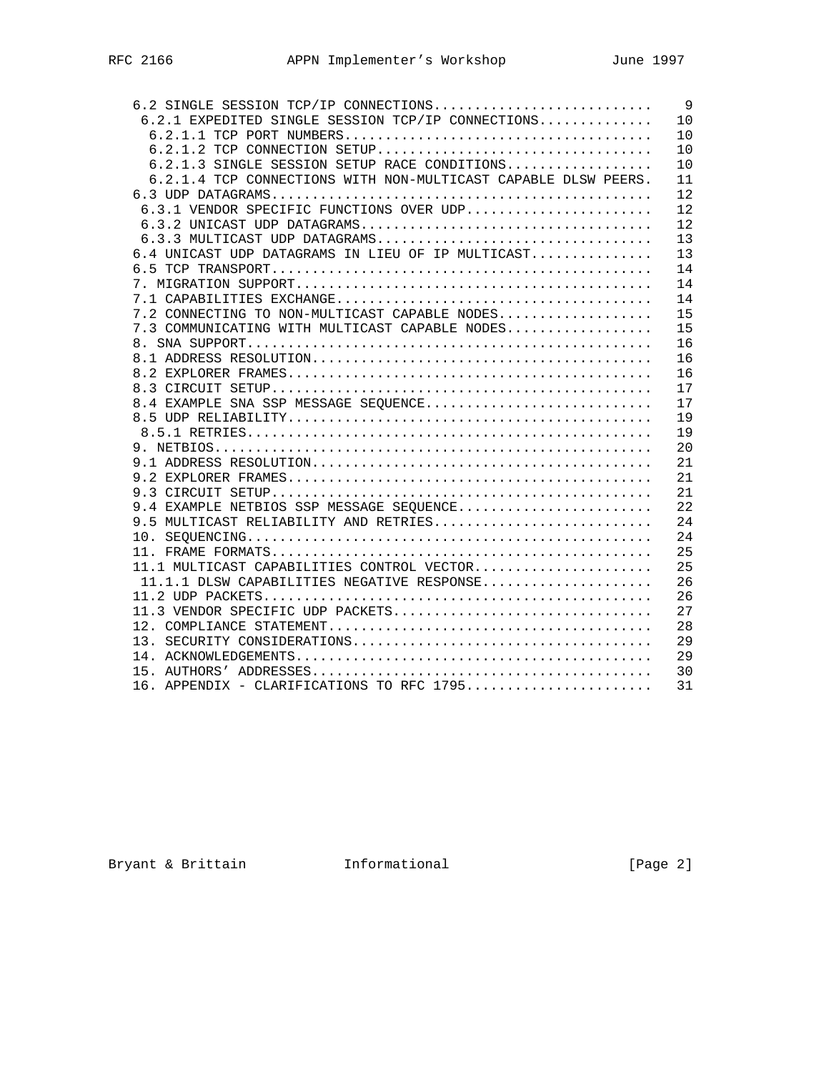| 6.2 SINGLE SESSION TCP/IP CONNECTIONS                          | 9  |
|----------------------------------------------------------------|----|
| 6.2.1 EXPEDITED SINGLE SESSION TCP/IP CONNECTIONS              | 10 |
|                                                                | 10 |
| $6.2.1.2$ TCP CONNECTION SETUP                                 | 10 |
| $6.2.1.3$ SINGLE SESSION SETUP RACE CONDITIONS                 | 10 |
| 6.2.1.4 TCP CONNECTIONS WITH NON-MULTICAST CAPABLE DLSW PEERS. | 11 |
|                                                                | 12 |
| 6.3.1 VENDOR SPECIFIC FUNCTIONS OVER UDP                       | 12 |
|                                                                | 12 |
| 6.3.3 MULTICAST UDP DATAGRAMS                                  | 13 |
| 6.4 UNICAST UDP DATAGRAMS IN LIEU OF IP MULTICAST              | 13 |
|                                                                | 14 |
|                                                                | 14 |
|                                                                | 14 |
| 7.2 CONNECTING TO NON-MULTICAST CAPABLE NODES                  | 15 |
| 7.3 COMMUNICATING WITH MULTICAST CAPABLE NODES                 | 15 |
|                                                                | 16 |
|                                                                | 16 |
|                                                                | 16 |
|                                                                | 17 |
| 8.4 EXAMPLE SNA SSP MESSAGE SEQUENCE                           | 17 |
|                                                                | 19 |
|                                                                | 19 |
|                                                                | 20 |
|                                                                | 21 |
|                                                                | 21 |
|                                                                | 21 |
| 9.4 EXAMPLE NETBIOS SSP MESSAGE SEQUENCE                       | 22 |
| 9.5 MULTICAST RELIABILITY AND RETRIES                          | 24 |
|                                                                | 24 |
|                                                                | 25 |
| 11.1 MULTICAST CAPABILITIES CONTROL VECTOR                     | 25 |
| 11.1.1 DLSW CAPABILITIES NEGATIVE RESPONSE                     | 26 |
|                                                                | 26 |
| 11.3 VENDOR SPECIFIC UDP PACKETS                               | 27 |
|                                                                | 28 |
|                                                                | 29 |
|                                                                | 29 |
|                                                                | 30 |
| 16. APPENDIX - CLARIFICATIONS TO RFC 1795                      | 31 |

Bryant & Brittain **Informational Informational** [Page 2]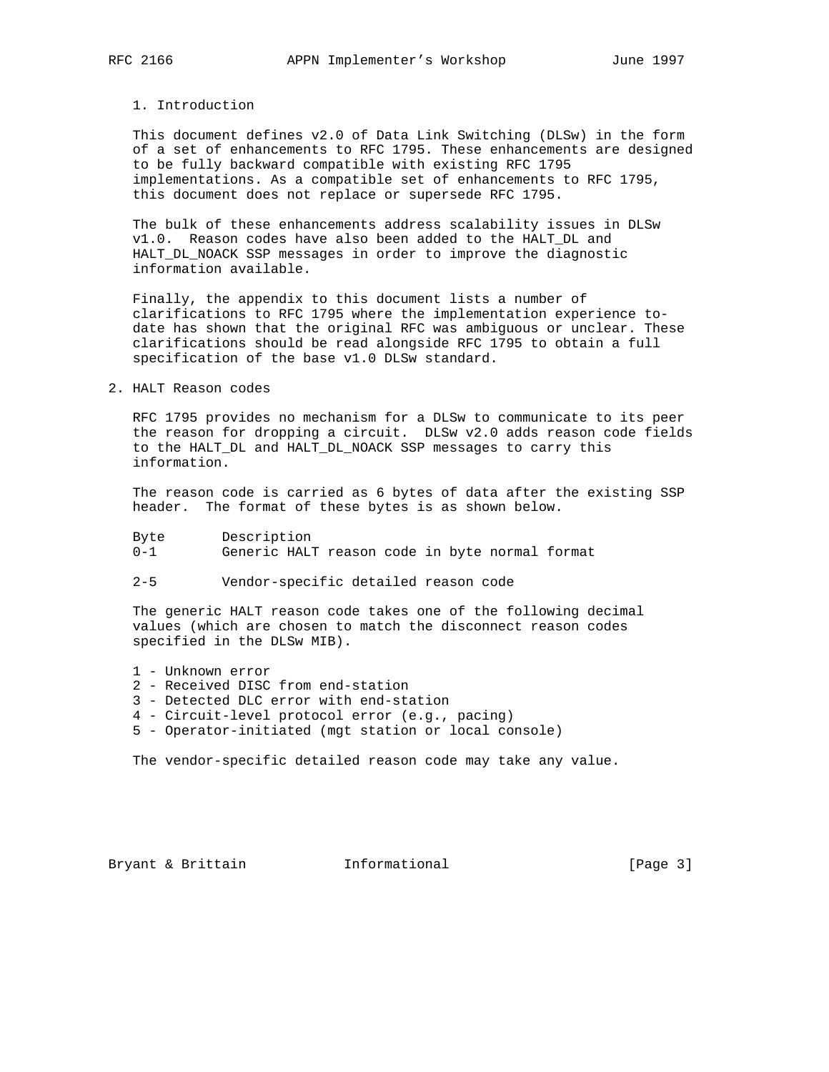## 1. Introduction

 This document defines v2.0 of Data Link Switching (DLSw) in the form of a set of enhancements to RFC 1795. These enhancements are designed to be fully backward compatible with existing RFC 1795 implementations. As a compatible set of enhancements to RFC 1795, this document does not replace or supersede RFC 1795.

The bulk of these enhancements address scalability issues in DLSw v1.0. Reason codes have also been added to the HALT\_DL and HALT\_DL\_NOACK SSP messages in order to improve the diagnostic information available.

 Finally, the appendix to this document lists a number of clarifications to RFC 1795 where the implementation experience to date has shown that the original RFC was ambiguous or unclear. These clarifications should be read alongside RFC 1795 to obtain a full specification of the base v1.0 DLSw standard.

2. HALT Reason codes

 RFC 1795 provides no mechanism for a DLSw to communicate to its peer the reason for dropping a circuit. DLSw v2.0 adds reason code fields to the HALT\_DL and HALT\_DL\_NOACK SSP messages to carry this information.

 The reason code is carried as 6 bytes of data after the existing SSP header. The format of these bytes is as shown below.

| Byte    | Description                                    |  |  |  |
|---------|------------------------------------------------|--|--|--|
| $0 - 1$ | Generic HALT reason code in byte normal format |  |  |  |

2-5 Vendor-specific detailed reason code

 The generic HALT reason code takes one of the following decimal values (which are chosen to match the disconnect reason codes specified in the DLSw MIB).

- 1 Unknown error
- 2 Received DISC from end-station
- 3 Detected DLC error with end-station
- 4 Circuit-level protocol error (e.g., pacing)
- 5 Operator-initiated (mgt station or local console)

The vendor-specific detailed reason code may take any value.

Bryant & Brittain **Informational** [Page 3]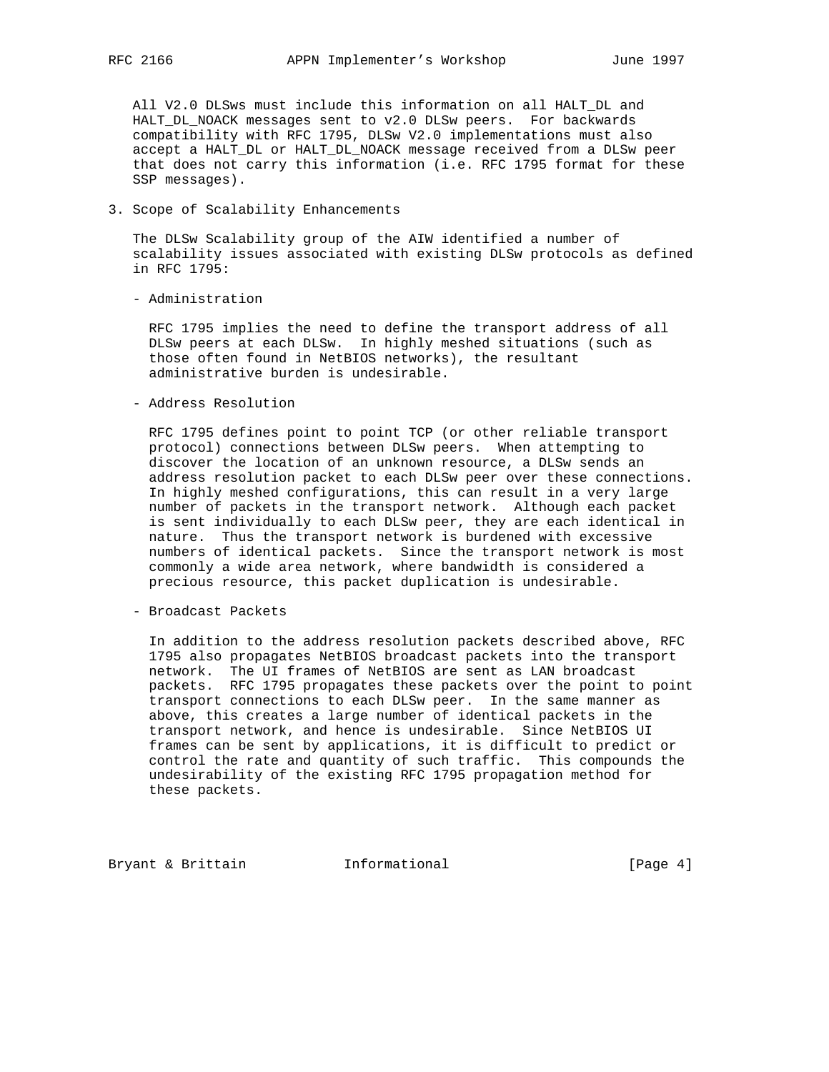All V2.0 DLSws must include this information on all HALT\_DL and HALT\_DL\_NOACK messages sent to v2.0 DLSw peers. For backwards compatibility with RFC 1795, DLSw V2.0 implementations must also accept a HALT\_DL or HALT\_DL\_NOACK message received from a DLSw peer that does not carry this information (i.e. RFC 1795 format for these SSP messages).

3. Scope of Scalability Enhancements

 The DLSw Scalability group of the AIW identified a number of scalability issues associated with existing DLSw protocols as defined in RFC 1795:

- Administration

 RFC 1795 implies the need to define the transport address of all DLSw peers at each DLSw. In highly meshed situations (such as those often found in NetBIOS networks), the resultant administrative burden is undesirable.

- Address Resolution

 RFC 1795 defines point to point TCP (or other reliable transport protocol) connections between DLSw peers. When attempting to discover the location of an unknown resource, a DLSw sends an address resolution packet to each DLSw peer over these connections. In highly meshed configurations, this can result in a very large number of packets in the transport network. Although each packet is sent individually to each DLSw peer, they are each identical in nature. Thus the transport network is burdened with excessive numbers of identical packets. Since the transport network is most commonly a wide area network, where bandwidth is considered a precious resource, this packet duplication is undesirable.

- Broadcast Packets

 In addition to the address resolution packets described above, RFC 1795 also propagates NetBIOS broadcast packets into the transport network. The UI frames of NetBIOS are sent as LAN broadcast packets. RFC 1795 propagates these packets over the point to point transport connections to each DLSw peer. In the same manner as above, this creates a large number of identical packets in the transport network, and hence is undesirable. Since NetBIOS UI frames can be sent by applications, it is difficult to predict or control the rate and quantity of such traffic. This compounds the undesirability of the existing RFC 1795 propagation method for these packets.

Bryant & Brittain **Informational** [Page 4]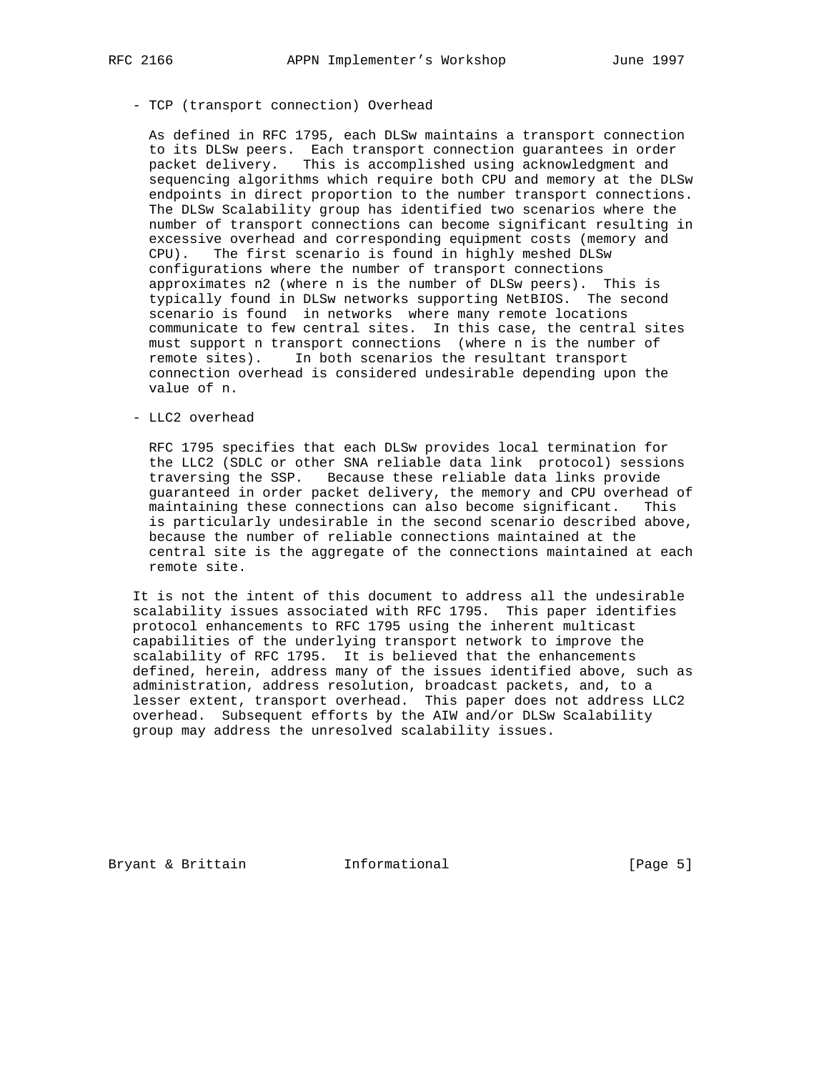## - TCP (transport connection) Overhead

 As defined in RFC 1795, each DLSw maintains a transport connection to its DLSw peers. Each transport connection guarantees in order packet delivery. This is accomplished using acknowledgment and sequencing algorithms which require both CPU and memory at the DLSw endpoints in direct proportion to the number transport connections. The DLSw Scalability group has identified two scenarios where the number of transport connections can become significant resulting in excessive overhead and corresponding equipment costs (memory and CPU). The first scenario is found in highly meshed DLSw configurations where the number of transport connections approximates n2 (where n is the number of DLSw peers). This is typically found in DLSw networks supporting NetBIOS. The second scenario is found in networks where many remote locations communicate to few central sites. In this case, the central sites must support n transport connections (where n is the number of remote sites). In both scenarios the resultant transport connection overhead is considered undesirable depending upon the value of n.

- LLC2 overhead

 RFC 1795 specifies that each DLSw provides local termination for the LLC2 (SDLC or other SNA reliable data link protocol) sessions traversing the SSP. Because these reliable data links provide guaranteed in order packet delivery, the memory and CPU overhead of maintaining these connections can also become significant. This is particularly undesirable in the second scenario described above, because the number of reliable connections maintained at the central site is the aggregate of the connections maintained at each remote site.

 It is not the intent of this document to address all the undesirable scalability issues associated with RFC 1795. This paper identifies protocol enhancements to RFC 1795 using the inherent multicast capabilities of the underlying transport network to improve the scalability of RFC 1795. It is believed that the enhancements defined, herein, address many of the issues identified above, such as administration, address resolution, broadcast packets, and, to a lesser extent, transport overhead. This paper does not address LLC2 overhead. Subsequent efforts by the AIW and/or DLSw Scalability group may address the unresolved scalability issues.

Bryant & Brittain **Informational** [Page 5]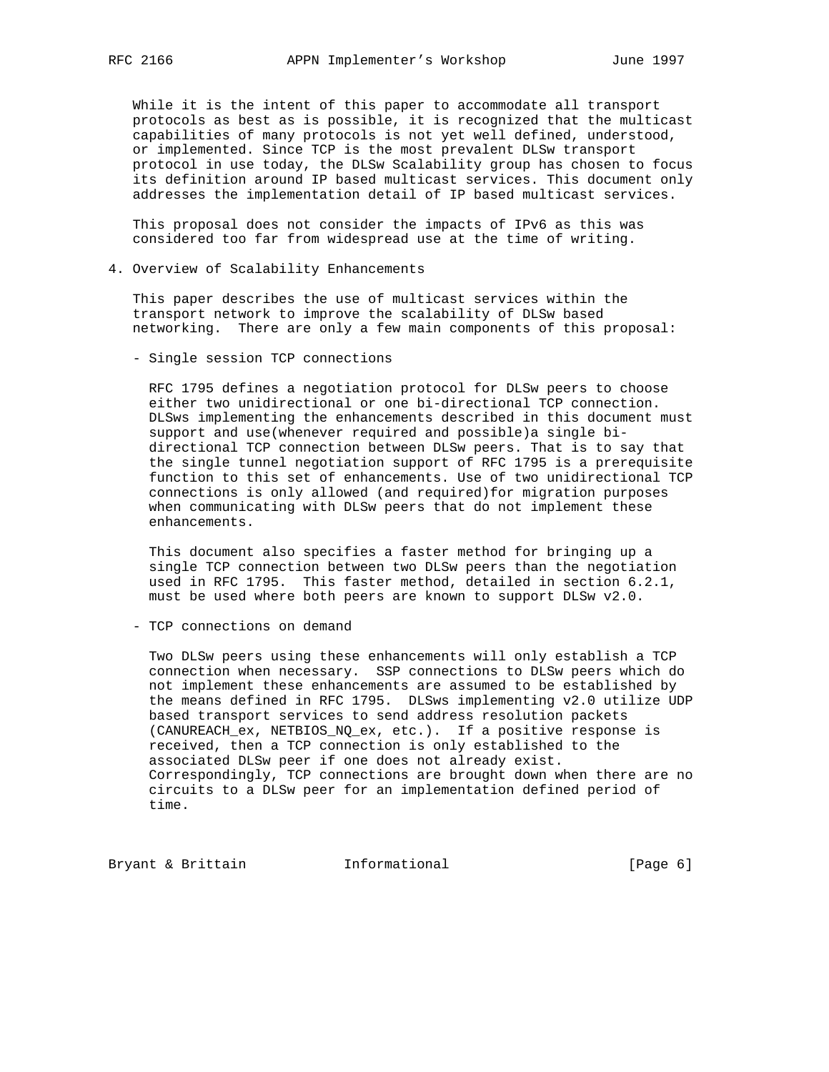While it is the intent of this paper to accommodate all transport protocols as best as is possible, it is recognized that the multicast capabilities of many protocols is not yet well defined, understood, or implemented. Since TCP is the most prevalent DLSw transport protocol in use today, the DLSw Scalability group has chosen to focus its definition around IP based multicast services. This document only addresses the implementation detail of IP based multicast services.

 This proposal does not consider the impacts of IPv6 as this was considered too far from widespread use at the time of writing.

4. Overview of Scalability Enhancements

 This paper describes the use of multicast services within the transport network to improve the scalability of DLSw based networking. There are only a few main components of this proposal:

- Single session TCP connections

 RFC 1795 defines a negotiation protocol for DLSw peers to choose either two unidirectional or one bi-directional TCP connection. DLSws implementing the enhancements described in this document must support and use(whenever required and possible)a single bi directional TCP connection between DLSw peers. That is to say that the single tunnel negotiation support of RFC 1795 is a prerequisite function to this set of enhancements. Use of two unidirectional TCP connections is only allowed (and required)for migration purposes when communicating with DLSw peers that do not implement these enhancements.

 This document also specifies a faster method for bringing up a single TCP connection between two DLSw peers than the negotiation used in RFC 1795. This faster method, detailed in section 6.2.1, must be used where both peers are known to support DLSw v2.0.

- TCP connections on demand

 Two DLSw peers using these enhancements will only establish a TCP connection when necessary. SSP connections to DLSw peers which do not implement these enhancements are assumed to be established by the means defined in RFC 1795. DLSws implementing v2.0 utilize UDP based transport services to send address resolution packets (CANUREACH\_ex, NETBIOS\_NQ\_ex, etc.). If a positive response is received, then a TCP connection is only established to the associated DLSw peer if one does not already exist. Correspondingly, TCP connections are brought down when there are no circuits to a DLSw peer for an implementation defined period of time.

Bryant & Brittain **Informational Informational** [Page 6]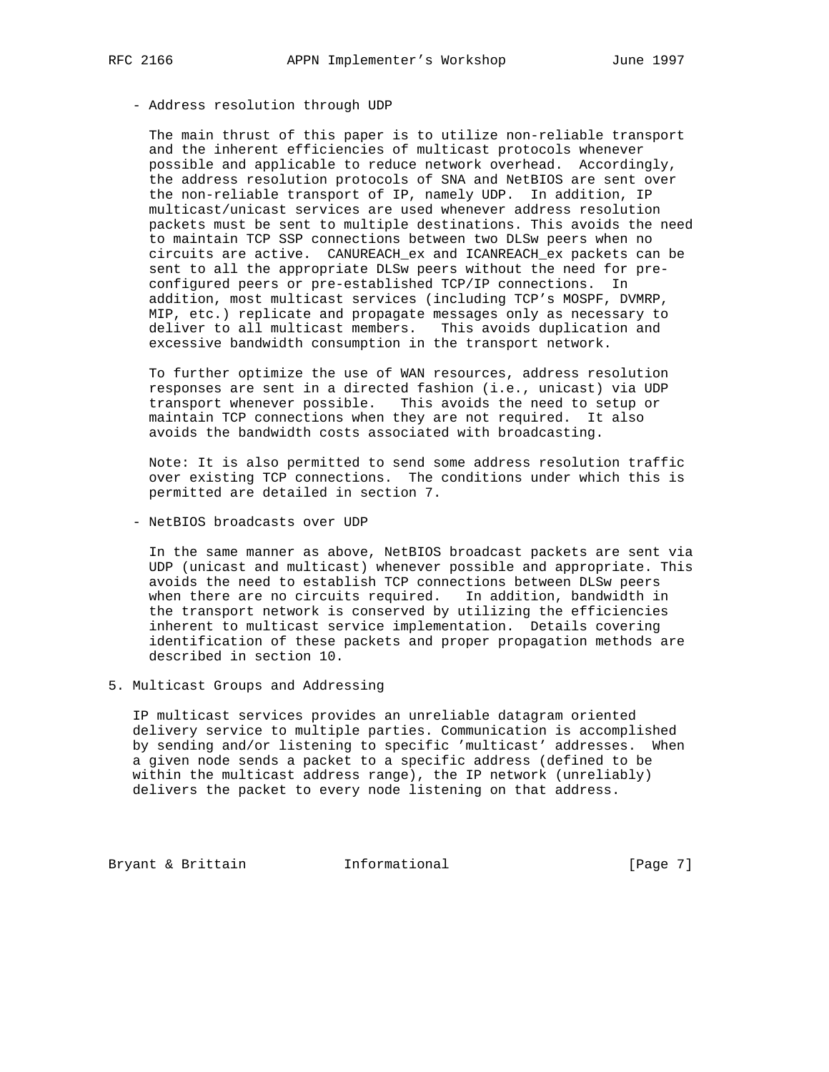## - Address resolution through UDP

 The main thrust of this paper is to utilize non-reliable transport and the inherent efficiencies of multicast protocols whenever possible and applicable to reduce network overhead. Accordingly, the address resolution protocols of SNA and NetBIOS are sent over the non-reliable transport of IP, namely UDP. In addition, IP multicast/unicast services are used whenever address resolution packets must be sent to multiple destinations. This avoids the need to maintain TCP SSP connections between two DLSw peers when no circuits are active. CANUREACH\_ex and ICANREACH\_ex packets can be sent to all the appropriate DLSw peers without the need for pre configured peers or pre-established TCP/IP connections. In addition, most multicast services (including TCP's MOSPF, DVMRP, MIP, etc.) replicate and propagate messages only as necessary to deliver to all multicast members. This avoids duplication and excessive bandwidth consumption in the transport network.

 To further optimize the use of WAN resources, address resolution responses are sent in a directed fashion (i.e., unicast) via UDP transport whenever possible. This avoids the need to setup or maintain TCP connections when they are not required. It also avoids the bandwidth costs associated with broadcasting.

 Note: It is also permitted to send some address resolution traffic over existing TCP connections. The conditions under which this is permitted are detailed in section 7.

- NetBIOS broadcasts over UDP

 In the same manner as above, NetBIOS broadcast packets are sent via UDP (unicast and multicast) whenever possible and appropriate. This avoids the need to establish TCP connections between DLSw peers when there are no circuits required. In addition, bandwidth in the transport network is conserved by utilizing the efficiencies inherent to multicast service implementation. Details covering identification of these packets and proper propagation methods are described in section 10.

# 5. Multicast Groups and Addressing

 IP multicast services provides an unreliable datagram oriented delivery service to multiple parties. Communication is accomplished by sending and/or listening to specific 'multicast' addresses. When a given node sends a packet to a specific address (defined to be within the multicast address range), the IP network (unreliably) delivers the packet to every node listening on that address.

Bryant & Brittain **Informational** [Page 7]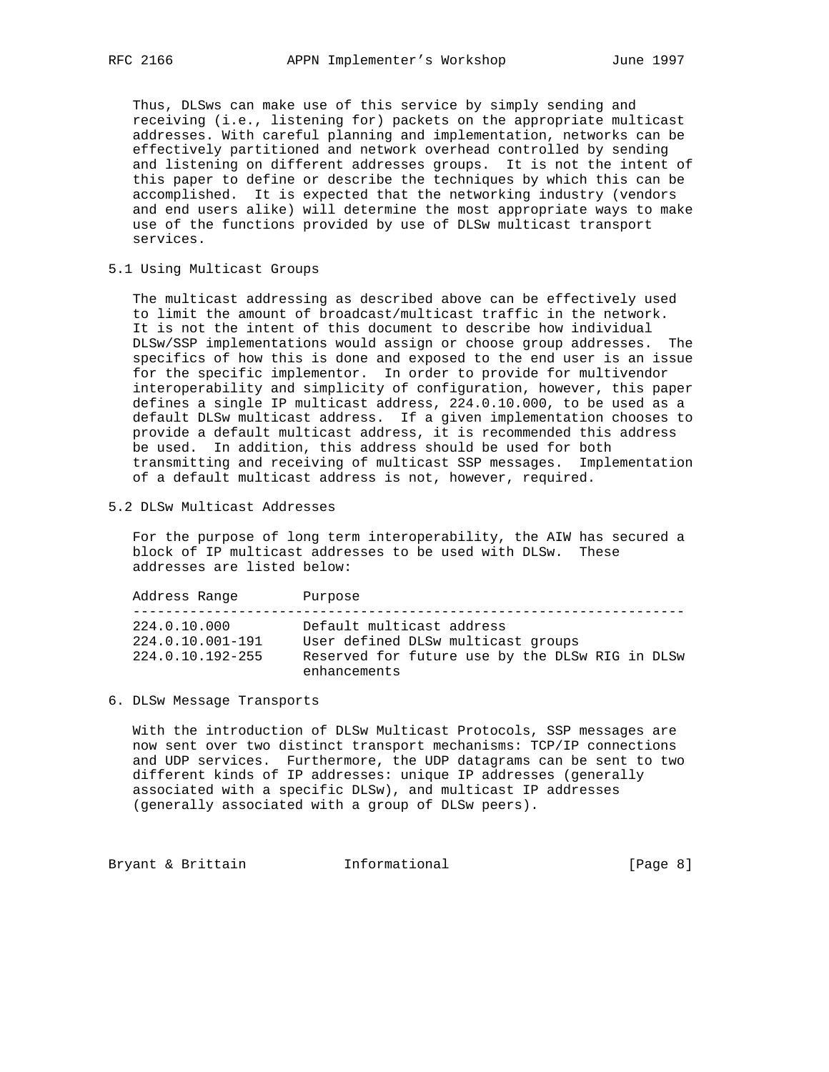Thus, DLSws can make use of this service by simply sending and receiving (i.e., listening for) packets on the appropriate multicast addresses. With careful planning and implementation, networks can be effectively partitioned and network overhead controlled by sending and listening on different addresses groups. It is not the intent of this paper to define or describe the techniques by which this can be accomplished. It is expected that the networking industry (vendors and end users alike) will determine the most appropriate ways to make use of the functions provided by use of DLSw multicast transport services.

5.1 Using Multicast Groups

 The multicast addressing as described above can be effectively used to limit the amount of broadcast/multicast traffic in the network. It is not the intent of this document to describe how individual DLSw/SSP implementations would assign or choose group addresses. The specifics of how this is done and exposed to the end user is an issue for the specific implementor. In order to provide for multivendor interoperability and simplicity of configuration, however, this paper defines a single IP multicast address, 224.0.10.000, to be used as a default DLSw multicast address. If a given implementation chooses to provide a default multicast address, it is recommended this address be used. In addition, this address should be used for both transmitting and receiving of multicast SSP messages. Implementation of a default multicast address is not, however, required.

5.2 DLSw Multicast Addresses

 For the purpose of long term interoperability, the AIW has secured a block of IP multicast addresses to be used with DLSw. These addresses are listed below:

| Address Range                                        | Purpose                                                                                                                            |
|------------------------------------------------------|------------------------------------------------------------------------------------------------------------------------------------|
| 224.0.10.000<br>224.0.10.001-191<br>224.0.10.192-255 | Default multicast address<br>User defined DLSw multicast groups<br>Reserved for future use by the DLSw RIG in DLSw<br>enhancements |

6. DLSw Message Transports

 With the introduction of DLSw Multicast Protocols, SSP messages are now sent over two distinct transport mechanisms: TCP/IP connections and UDP services. Furthermore, the UDP datagrams can be sent to two different kinds of IP addresses: unique IP addresses (generally associated with a specific DLSw), and multicast IP addresses (generally associated with a group of DLSw peers).

Bryant & Brittain **Informational** [Page 8]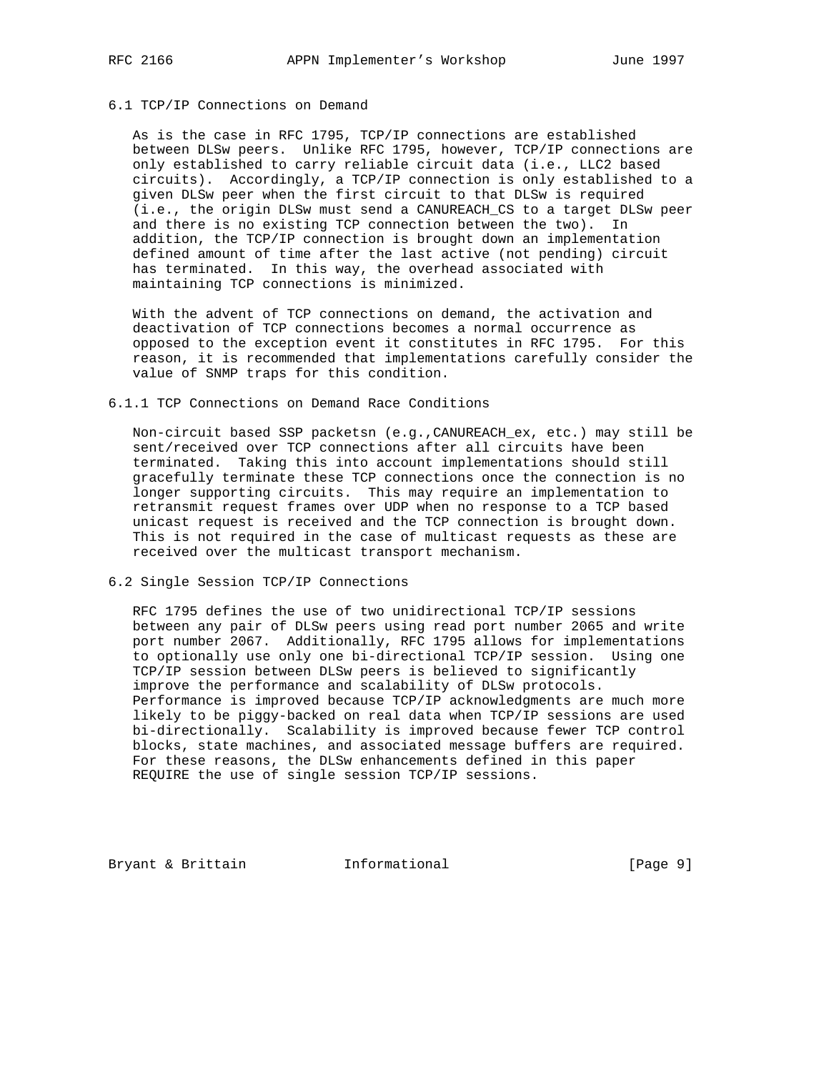## 6.1 TCP/IP Connections on Demand

 As is the case in RFC 1795, TCP/IP connections are established between DLSw peers. Unlike RFC 1795, however, TCP/IP connections are only established to carry reliable circuit data (i.e., LLC2 based circuits). Accordingly, a TCP/IP connection is only established to a given DLSw peer when the first circuit to that DLSw is required (i.e., the origin DLSw must send a CANUREACH\_CS to a target DLSw peer and there is no existing TCP connection between the two). In addition, the TCP/IP connection is brought down an implementation defined amount of time after the last active (not pending) circuit has terminated. In this way, the overhead associated with maintaining TCP connections is minimized.

 With the advent of TCP connections on demand, the activation and deactivation of TCP connections becomes a normal occurrence as opposed to the exception event it constitutes in RFC 1795. For this reason, it is recommended that implementations carefully consider the value of SNMP traps for this condition.

### 6.1.1 TCP Connections on Demand Race Conditions

 Non-circuit based SSP packetsn (e.g.,CANUREACH\_ex, etc.) may still be sent/received over TCP connections after all circuits have been terminated. Taking this into account implementations should still gracefully terminate these TCP connections once the connection is no longer supporting circuits. This may require an implementation to retransmit request frames over UDP when no response to a TCP based unicast request is received and the TCP connection is brought down. This is not required in the case of multicast requests as these are received over the multicast transport mechanism.

6.2 Single Session TCP/IP Connections

 RFC 1795 defines the use of two unidirectional TCP/IP sessions between any pair of DLSw peers using read port number 2065 and write port number 2067. Additionally, RFC 1795 allows for implementations to optionally use only one bi-directional TCP/IP session. Using one TCP/IP session between DLSw peers is believed to significantly improve the performance and scalability of DLSw protocols. Performance is improved because TCP/IP acknowledgments are much more likely to be piggy-backed on real data when TCP/IP sessions are used bi-directionally. Scalability is improved because fewer TCP control blocks, state machines, and associated message buffers are required. For these reasons, the DLSw enhancements defined in this paper REQUIRE the use of single session TCP/IP sessions.

Bryant & Brittain **Informational** [Page 9]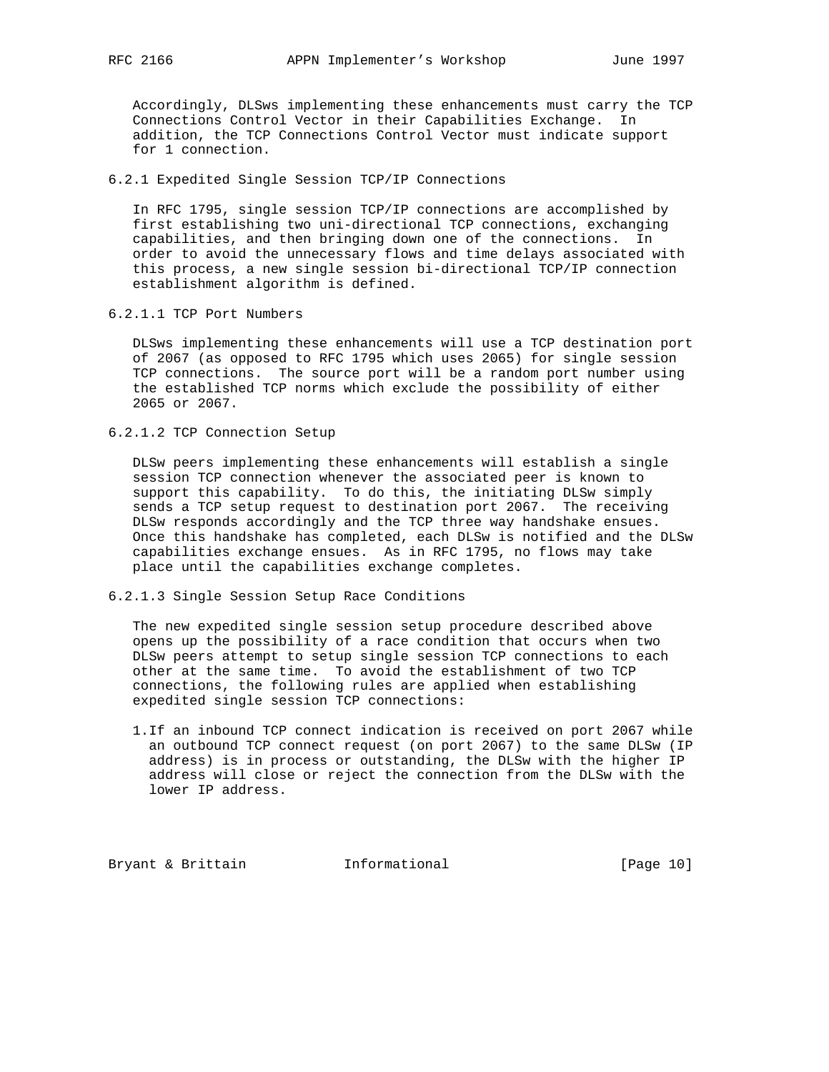Accordingly, DLSws implementing these enhancements must carry the TCP Connections Control Vector in their Capabilities Exchange. In addition, the TCP Connections Control Vector must indicate support for 1 connection.

6.2.1 Expedited Single Session TCP/IP Connections

 In RFC 1795, single session TCP/IP connections are accomplished by first establishing two uni-directional TCP connections, exchanging capabilities, and then bringing down one of the connections. In order to avoid the unnecessary flows and time delays associated with this process, a new single session bi-directional TCP/IP connection establishment algorithm is defined.

6.2.1.1 TCP Port Numbers

 DLSws implementing these enhancements will use a TCP destination port of 2067 (as opposed to RFC 1795 which uses 2065) for single session TCP connections. The source port will be a random port number using the established TCP norms which exclude the possibility of either 2065 or 2067.

6.2.1.2 TCP Connection Setup

 DLSw peers implementing these enhancements will establish a single session TCP connection whenever the associated peer is known to support this capability. To do this, the initiating DLSw simply sends a TCP setup request to destination port 2067. The receiving DLSw responds accordingly and the TCP three way handshake ensues. Once this handshake has completed, each DLSw is notified and the DLSw capabilities exchange ensues. As in RFC 1795, no flows may take place until the capabilities exchange completes.

6.2.1.3 Single Session Setup Race Conditions

 The new expedited single session setup procedure described above opens up the possibility of a race condition that occurs when two DLSw peers attempt to setup single session TCP connections to each other at the same time. To avoid the establishment of two TCP connections, the following rules are applied when establishing expedited single session TCP connections:

 1.If an inbound TCP connect indication is received on port 2067 while an outbound TCP connect request (on port 2067) to the same DLSw (IP address) is in process or outstanding, the DLSw with the higher IP address will close or reject the connection from the DLSw with the lower IP address.

Bryant & Brittain **Informational** [Page 10]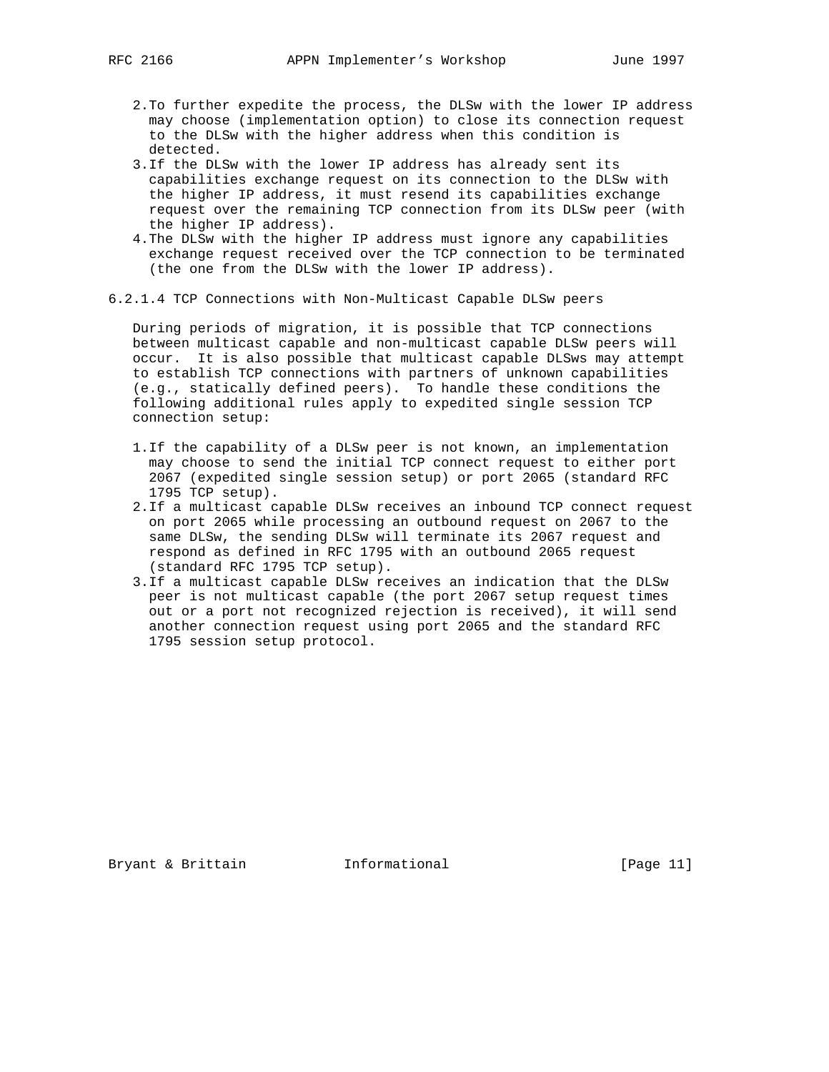- 2.To further expedite the process, the DLSw with the lower IP address may choose (implementation option) to close its connection request to the DLSw with the higher address when this condition is detected.
- 3.If the DLSw with the lower IP address has already sent its capabilities exchange request on its connection to the DLSw with the higher IP address, it must resend its capabilities exchange request over the remaining TCP connection from its DLSw peer (with the higher IP address).
- 4.The DLSw with the higher IP address must ignore any capabilities exchange request received over the TCP connection to be terminated (the one from the DLSw with the lower IP address).
- 6.2.1.4 TCP Connections with Non-Multicast Capable DLSw peers

 During periods of migration, it is possible that TCP connections between multicast capable and non-multicast capable DLSw peers will occur. It is also possible that multicast capable DLSws may attempt to establish TCP connections with partners of unknown capabilities (e.g., statically defined peers). To handle these conditions the following additional rules apply to expedited single session TCP connection setup:

- 1.If the capability of a DLSw peer is not known, an implementation may choose to send the initial TCP connect request to either port 2067 (expedited single session setup) or port 2065 (standard RFC 1795 TCP setup).
- 2.If a multicast capable DLSw receives an inbound TCP connect request on port 2065 while processing an outbound request on 2067 to the same DLSw, the sending DLSw will terminate its 2067 request and respond as defined in RFC 1795 with an outbound 2065 request (standard RFC 1795 TCP setup).
- 3.If a multicast capable DLSw receives an indication that the DLSw peer is not multicast capable (the port 2067 setup request times out or a port not recognized rejection is received), it will send another connection request using port 2065 and the standard RFC 1795 session setup protocol.

Bryant & Brittain **Informational** [Page 11]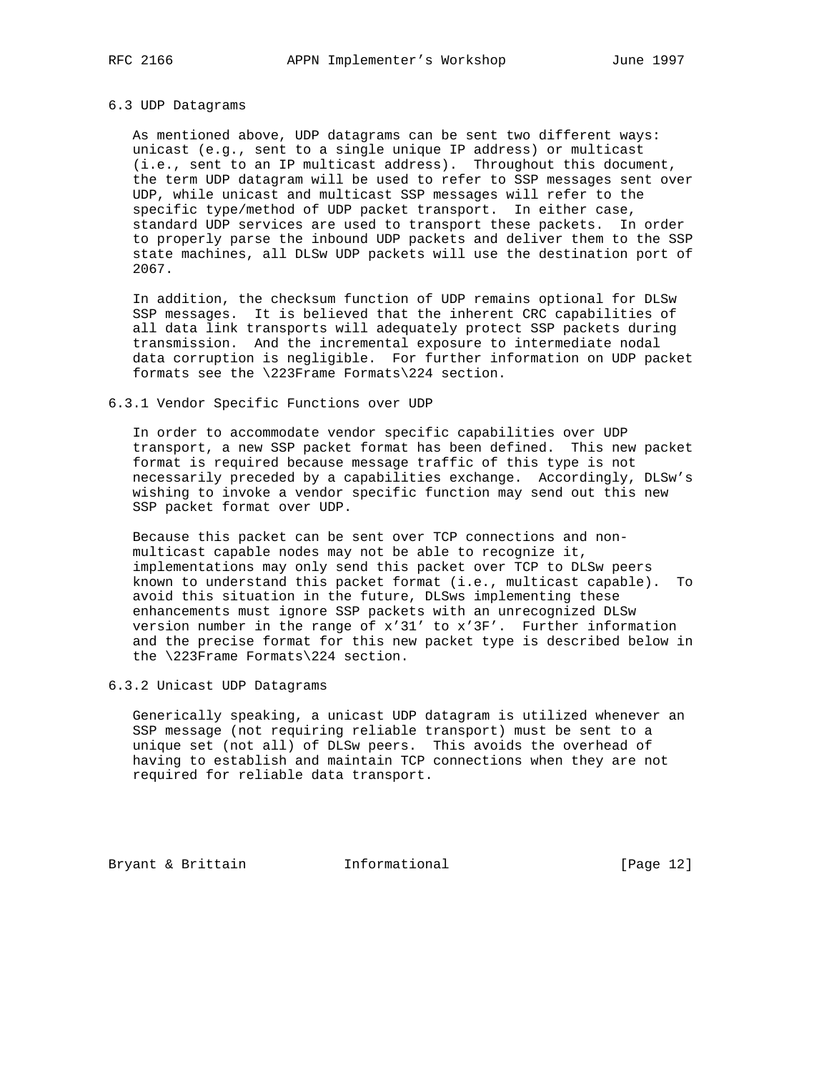## 6.3 UDP Datagrams

 As mentioned above, UDP datagrams can be sent two different ways: unicast (e.g., sent to a single unique IP address) or multicast (i.e., sent to an IP multicast address). Throughout this document, the term UDP datagram will be used to refer to SSP messages sent over UDP, while unicast and multicast SSP messages will refer to the specific type/method of UDP packet transport. In either case, standard UDP services are used to transport these packets. In order to properly parse the inbound UDP packets and deliver them to the SSP state machines, all DLSw UDP packets will use the destination port of 2067.

 In addition, the checksum function of UDP remains optional for DLSw SSP messages. It is believed that the inherent CRC capabilities of all data link transports will adequately protect SSP packets during transmission. And the incremental exposure to intermediate nodal data corruption is negligible. For further information on UDP packet formats see the \223Frame Formats\224 section.

## 6.3.1 Vendor Specific Functions over UDP

 In order to accommodate vendor specific capabilities over UDP transport, a new SSP packet format has been defined. This new packet format is required because message traffic of this type is not necessarily preceded by a capabilities exchange. Accordingly, DLSw's wishing to invoke a vendor specific function may send out this new SSP packet format over UDP.

 Because this packet can be sent over TCP connections and non multicast capable nodes may not be able to recognize it, implementations may only send this packet over TCP to DLSw peers known to understand this packet format (i.e., multicast capable). To avoid this situation in the future, DLSws implementing these enhancements must ignore SSP packets with an unrecognized DLSw version number in the range of x'31' to x'3F'. Further information and the precise format for this new packet type is described below in the \223Frame Formats\224 section.

6.3.2 Unicast UDP Datagrams

 Generically speaking, a unicast UDP datagram is utilized whenever an SSP message (not requiring reliable transport) must be sent to a unique set (not all) of DLSw peers. This avoids the overhead of having to establish and maintain TCP connections when they are not required for reliable data transport.

Bryant & Brittain **Informational** [Page 12]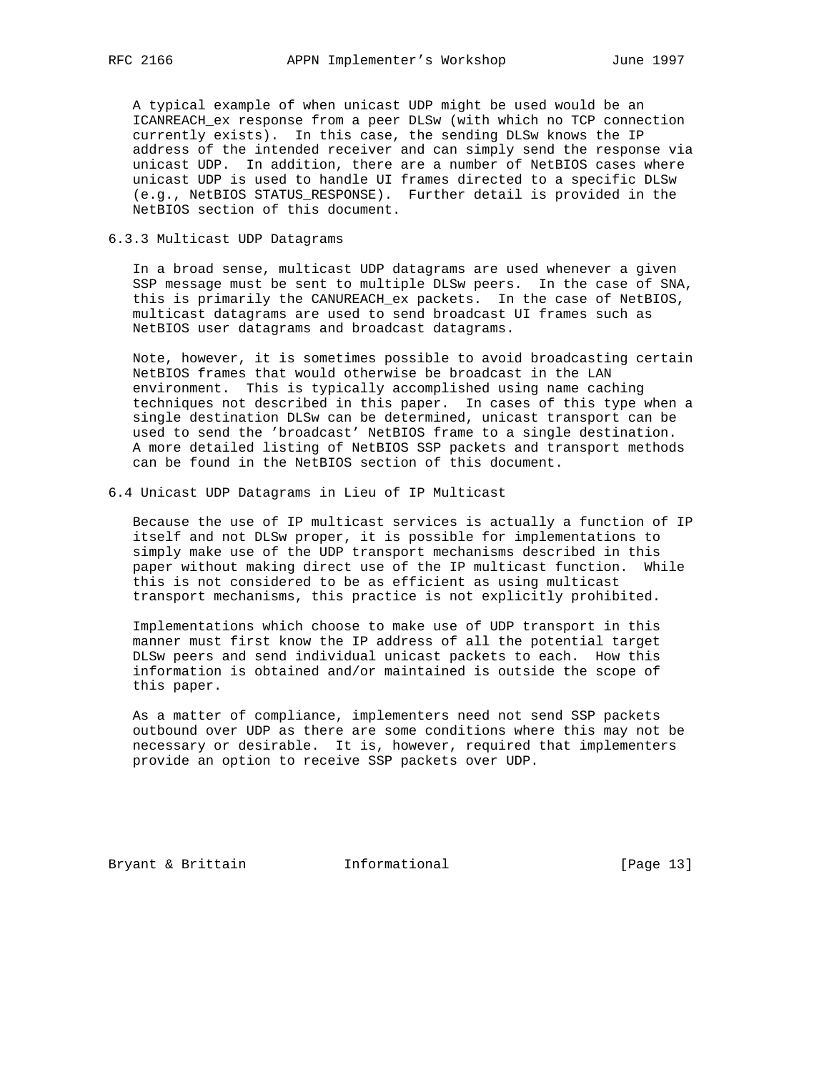A typical example of when unicast UDP might be used would be an ICANREACH\_ex response from a peer DLSw (with which no TCP connection currently exists). In this case, the sending DLSw knows the IP address of the intended receiver and can simply send the response via unicast UDP. In addition, there are a number of NetBIOS cases where unicast UDP is used to handle UI frames directed to a specific DLSw (e.g., NetBIOS STATUS\_RESPONSE). Further detail is provided in the NetBIOS section of this document.

## 6.3.3 Multicast UDP Datagrams

 In a broad sense, multicast UDP datagrams are used whenever a given SSP message must be sent to multiple DLSw peers. In the case of SNA, this is primarily the CANUREACH\_ex packets. In the case of NetBIOS, multicast datagrams are used to send broadcast UI frames such as NetBIOS user datagrams and broadcast datagrams.

 Note, however, it is sometimes possible to avoid broadcasting certain NetBIOS frames that would otherwise be broadcast in the LAN environment. This is typically accomplished using name caching techniques not described in this paper. In cases of this type when a single destination DLSw can be determined, unicast transport can be used to send the 'broadcast' NetBIOS frame to a single destination. A more detailed listing of NetBIOS SSP packets and transport methods can be found in the NetBIOS section of this document.

6.4 Unicast UDP Datagrams in Lieu of IP Multicast

 Because the use of IP multicast services is actually a function of IP itself and not DLSw proper, it is possible for implementations to simply make use of the UDP transport mechanisms described in this paper without making direct use of the IP multicast function. While this is not considered to be as efficient as using multicast transport mechanisms, this practice is not explicitly prohibited.

 Implementations which choose to make use of UDP transport in this manner must first know the IP address of all the potential target DLSw peers and send individual unicast packets to each. How this information is obtained and/or maintained is outside the scope of this paper.

 As a matter of compliance, implementers need not send SSP packets outbound over UDP as there are some conditions where this may not be necessary or desirable. It is, however, required that implementers provide an option to receive SSP packets over UDP.

Bryant & Brittain **Informational** [Page 13]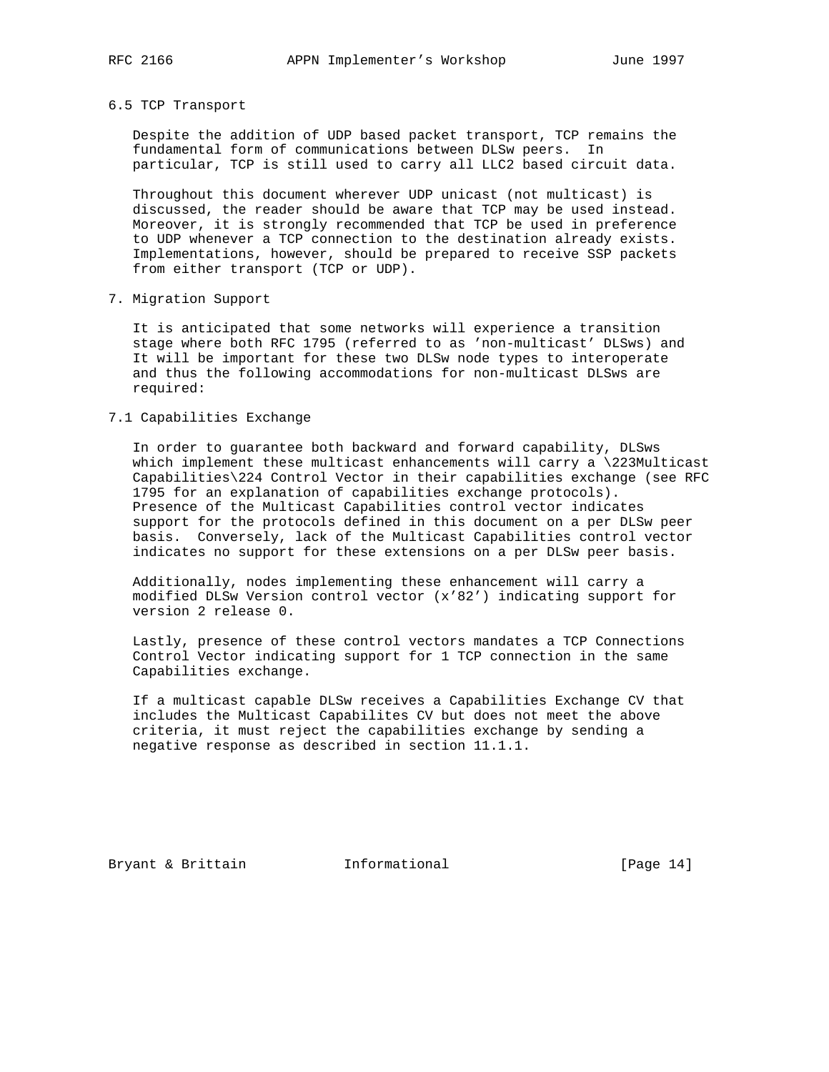6.5 TCP Transport

 Despite the addition of UDP based packet transport, TCP remains the fundamental form of communications between DLSw peers. In particular, TCP is still used to carry all LLC2 based circuit data.

 Throughout this document wherever UDP unicast (not multicast) is discussed, the reader should be aware that TCP may be used instead. Moreover, it is strongly recommended that TCP be used in preference to UDP whenever a TCP connection to the destination already exists. Implementations, however, should be prepared to receive SSP packets from either transport (TCP or UDP).

7. Migration Support

 It is anticipated that some networks will experience a transition stage where both RFC 1795 (referred to as 'non-multicast' DLSws) and It will be important for these two DLSw node types to interoperate and thus the following accommodations for non-multicast DLSws are required:

## 7.1 Capabilities Exchange

 In order to guarantee both backward and forward capability, DLSws which implement these multicast enhancements will carry a \223Multicast Capabilities\224 Control Vector in their capabilities exchange (see RFC 1795 for an explanation of capabilities exchange protocols). Presence of the Multicast Capabilities control vector indicates support for the protocols defined in this document on a per DLSw peer basis. Conversely, lack of the Multicast Capabilities control vector indicates no support for these extensions on a per DLSw peer basis.

 Additionally, nodes implementing these enhancement will carry a modified DLSw Version control vector (x'82') indicating support for version 2 release 0.

 Lastly, presence of these control vectors mandates a TCP Connections Control Vector indicating support for 1 TCP connection in the same Capabilities exchange.

 If a multicast capable DLSw receives a Capabilities Exchange CV that includes the Multicast Capabilites CV but does not meet the above criteria, it must reject the capabilities exchange by sending a negative response as described in section 11.1.1.

Bryant & Brittain **Informational** [Page 14]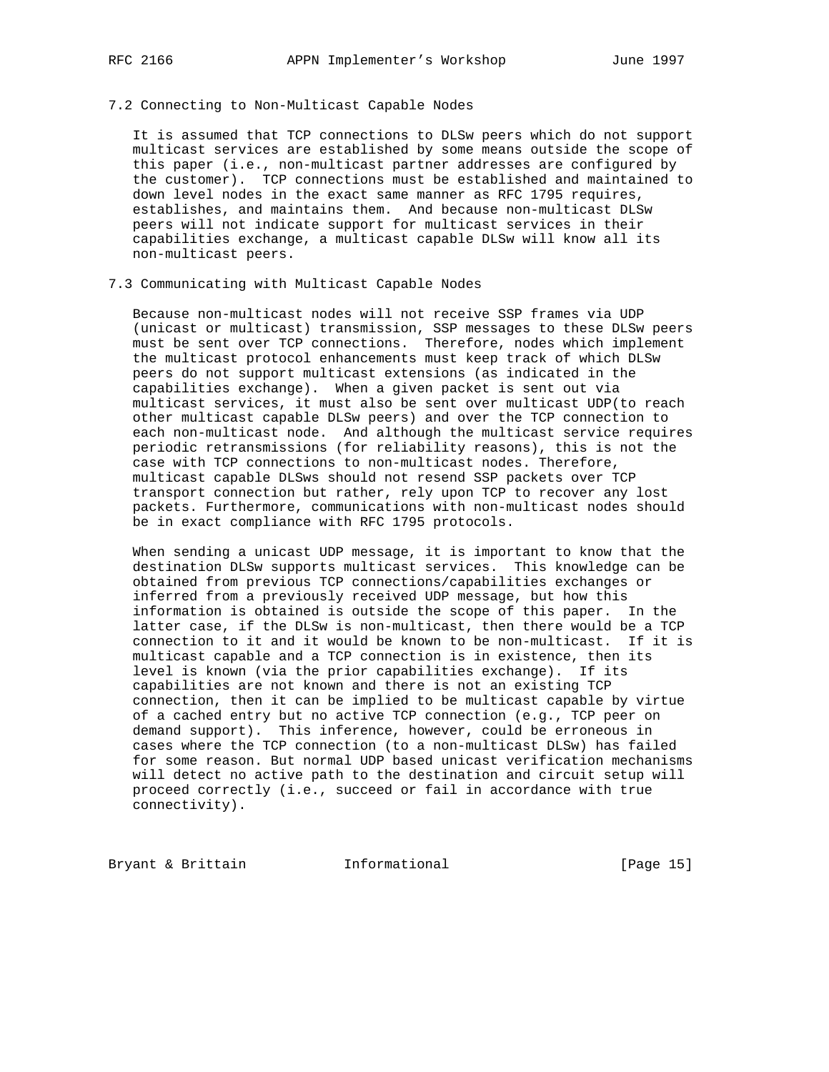## 7.2 Connecting to Non-Multicast Capable Nodes

 It is assumed that TCP connections to DLSw peers which do not support multicast services are established by some means outside the scope of this paper (i.e., non-multicast partner addresses are configured by the customer). TCP connections must be established and maintained to down level nodes in the exact same manner as RFC 1795 requires, establishes, and maintains them. And because non-multicast DLSw peers will not indicate support for multicast services in their capabilities exchange, a multicast capable DLSw will know all its non-multicast peers.

## 7.3 Communicating with Multicast Capable Nodes

 Because non-multicast nodes will not receive SSP frames via UDP (unicast or multicast) transmission, SSP messages to these DLSw peers must be sent over TCP connections. Therefore, nodes which implement the multicast protocol enhancements must keep track of which DLSw peers do not support multicast extensions (as indicated in the capabilities exchange). When a given packet is sent out via multicast services, it must also be sent over multicast UDP(to reach other multicast capable DLSw peers) and over the TCP connection to each non-multicast node. And although the multicast service requires periodic retransmissions (for reliability reasons), this is not the case with TCP connections to non-multicast nodes. Therefore, multicast capable DLSws should not resend SSP packets over TCP transport connection but rather, rely upon TCP to recover any lost packets. Furthermore, communications with non-multicast nodes should be in exact compliance with RFC 1795 protocols.

 When sending a unicast UDP message, it is important to know that the destination DLSw supports multicast services. This knowledge can be obtained from previous TCP connections/capabilities exchanges or inferred from a previously received UDP message, but how this information is obtained is outside the scope of this paper. In the latter case, if the DLSw is non-multicast, then there would be a TCP connection to it and it would be known to be non-multicast. If it is multicast capable and a TCP connection is in existence, then its level is known (via the prior capabilities exchange). If its capabilities are not known and there is not an existing TCP connection, then it can be implied to be multicast capable by virtue of a cached entry but no active TCP connection (e.g., TCP peer on demand support). This inference, however, could be erroneous in cases where the TCP connection (to a non-multicast DLSw) has failed for some reason. But normal UDP based unicast verification mechanisms will detect no active path to the destination and circuit setup will proceed correctly (i.e., succeed or fail in accordance with true connectivity).

Bryant & Brittain **Informational** [Page 15]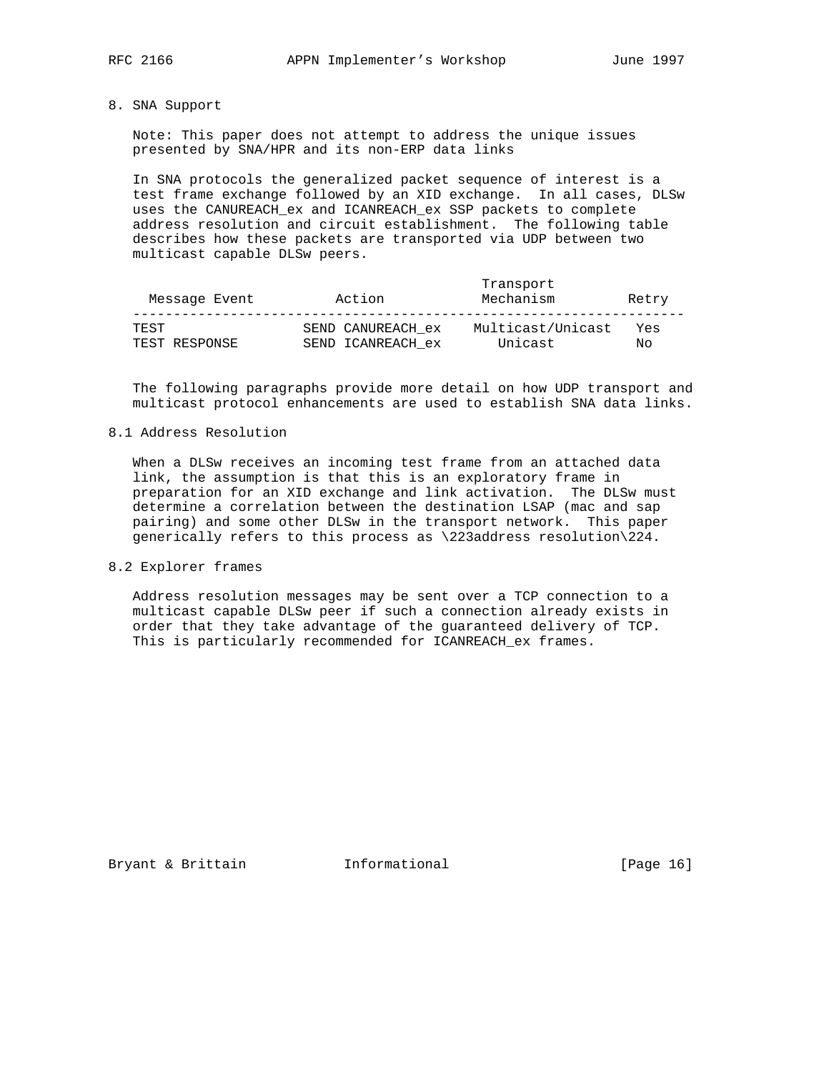## 8. SNA Support

 Note: This paper does not attempt to address the unique issues presented by SNA/HPR and its non-ERP data links

 In SNA protocols the generalized packet sequence of interest is a test frame exchange followed by an XID exchange. In all cases, DLSw uses the CANUREACH\_ex and ICANREACH\_ex SSP packets to complete address resolution and circuit establishment. The following table describes how these packets are transported via UDP between two multicast capable DLSw peers.

| Message Event | Action            | Transport<br>Mechanism | Retry |
|---------------|-------------------|------------------------|-------|
| TEST.         | SEND CANUREACH ex | Multicast/Unicast      | Yes   |
| TEST RESPONSE | SEND ICANREACH ex | Unicast                | Nο    |

 The following paragraphs provide more detail on how UDP transport and multicast protocol enhancements are used to establish SNA data links.

## 8.1 Address Resolution

 When a DLSw receives an incoming test frame from an attached data link, the assumption is that this is an exploratory frame in preparation for an XID exchange and link activation. The DLSw must determine a correlation between the destination LSAP (mac and sap pairing) and some other DLSw in the transport network. This paper generically refers to this process as \223address resolution\224.

8.2 Explorer frames

 Address resolution messages may be sent over a TCP connection to a multicast capable DLSw peer if such a connection already exists in order that they take advantage of the guaranteed delivery of TCP. This is particularly recommended for ICANREACH\_ex frames.

Bryant & Brittain **Informational** [Page 16]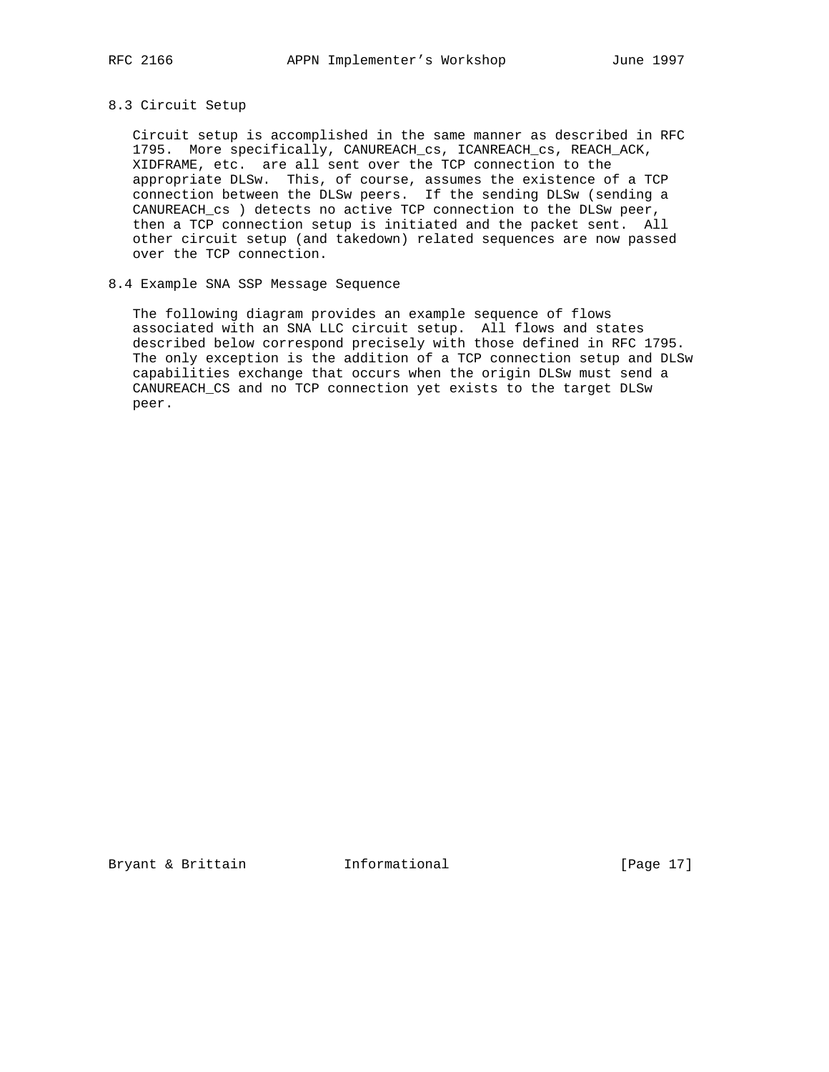## 8.3 Circuit Setup

 Circuit setup is accomplished in the same manner as described in RFC 1795. More specifically, CANUREACH\_cs, ICANREACH\_cs, REACH\_ACK, XIDFRAME, etc. are all sent over the TCP connection to the appropriate DLSw. This, of course, assumes the existence of a TCP connection between the DLSw peers. If the sending DLSw (sending a CANUREACH\_cs ) detects no active TCP connection to the DLSw peer, then a TCP connection setup is initiated and the packet sent. All other circuit setup (and takedown) related sequences are now passed over the TCP connection.

## 8.4 Example SNA SSP Message Sequence

 The following diagram provides an example sequence of flows associated with an SNA LLC circuit setup. All flows and states described below correspond precisely with those defined in RFC 1795. The only exception is the addition of a TCP connection setup and DLSw capabilities exchange that occurs when the origin DLSw must send a CANUREACH\_CS and no TCP connection yet exists to the target DLSw peer.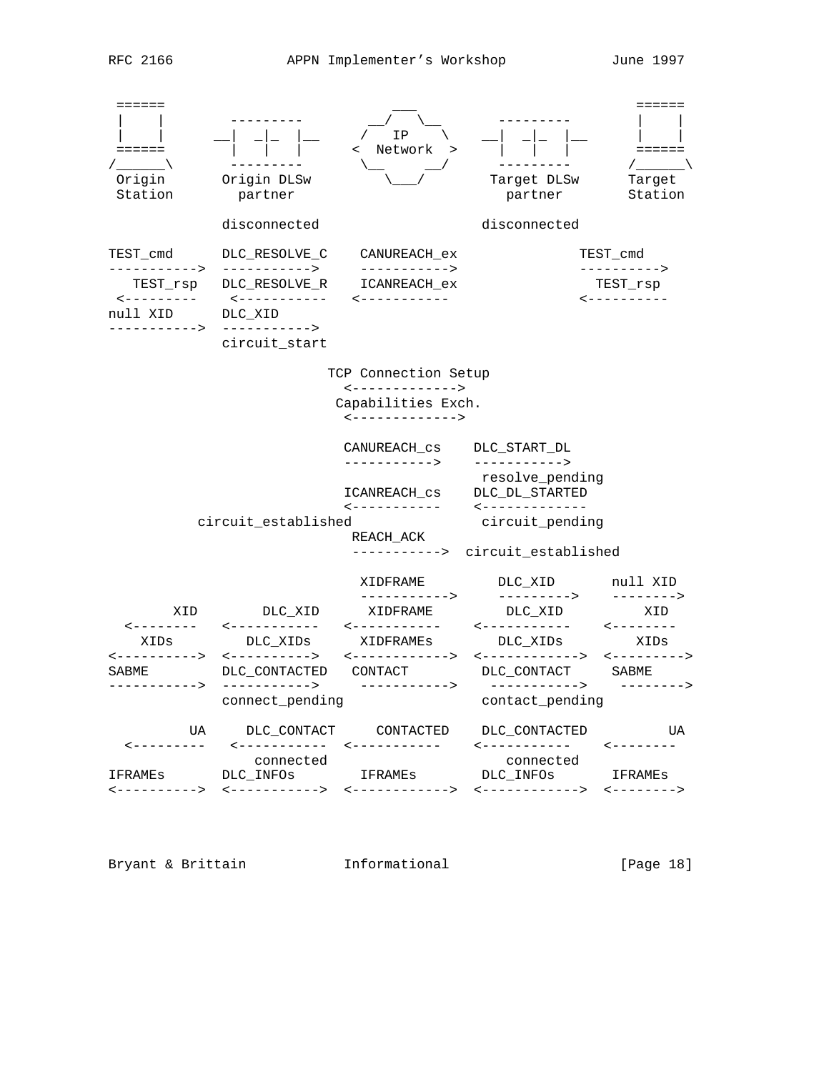

Bryant & Brittain **Informational** [Page 18]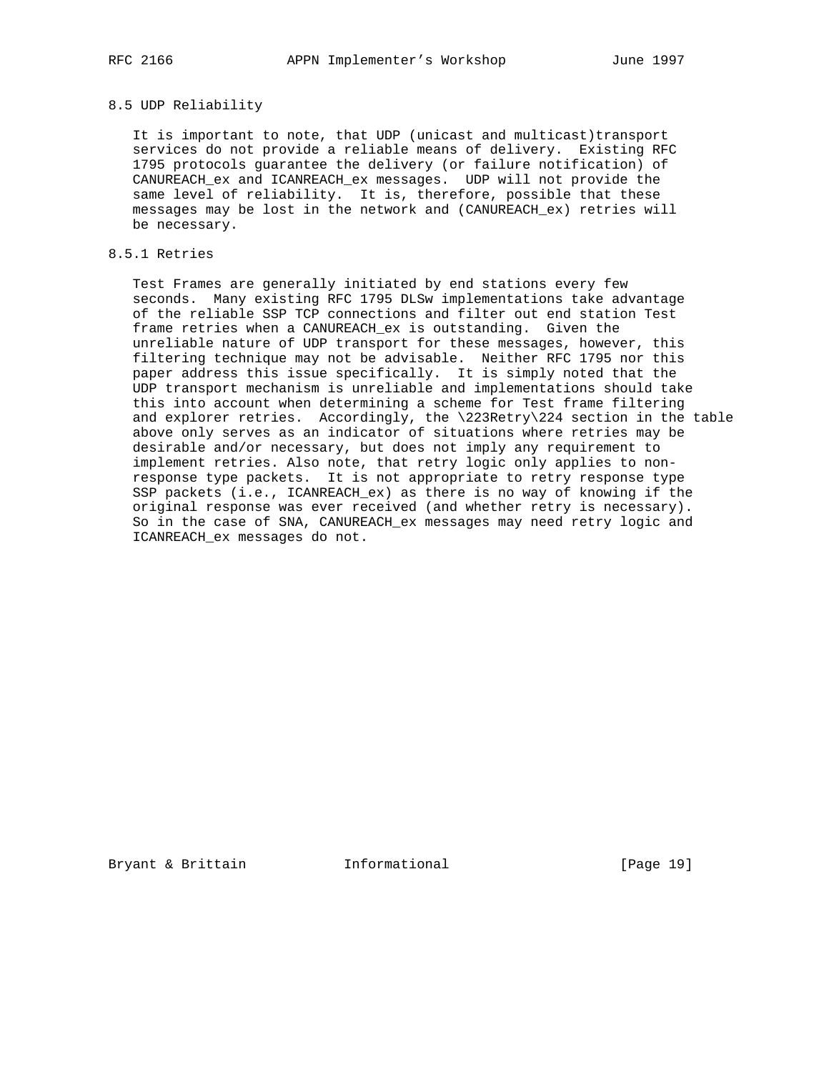## 8.5 UDP Reliability

 It is important to note, that UDP (unicast and multicast)transport services do not provide a reliable means of delivery. Existing RFC 1795 protocols guarantee the delivery (or failure notification) of CANUREACH\_ex and ICANREACH\_ex messages. UDP will not provide the same level of reliability. It is, therefore, possible that these messages may be lost in the network and (CANUREACH\_ex) retries will be necessary.

## 8.5.1 Retries

 Test Frames are generally initiated by end stations every few seconds. Many existing RFC 1795 DLSw implementations take advantage of the reliable SSP TCP connections and filter out end station Test frame retries when a CANUREACH\_ex is outstanding. Given the unreliable nature of UDP transport for these messages, however, this filtering technique may not be advisable. Neither RFC 1795 nor this paper address this issue specifically. It is simply noted that the UDP transport mechanism is unreliable and implementations should take this into account when determining a scheme for Test frame filtering and explorer retries. Accordingly, the \223Retry\224 section in the table above only serves as an indicator of situations where retries may be desirable and/or necessary, but does not imply any requirement to implement retries. Also note, that retry logic only applies to non response type packets. It is not appropriate to retry response type SSP packets (i.e., ICANREACH\_ex) as there is no way of knowing if the original response was ever received (and whether retry is necessary). So in the case of SNA, CANUREACH\_ex messages may need retry logic and ICANREACH\_ex messages do not.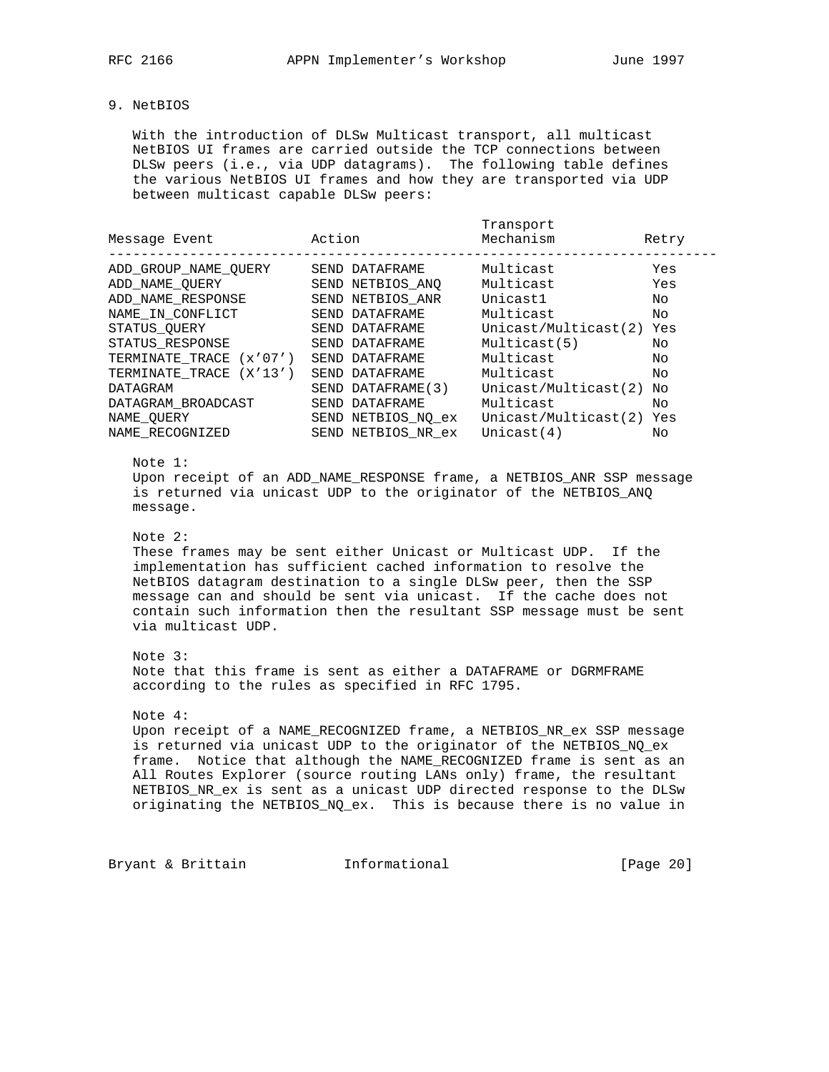## 9. NetBIOS

 With the introduction of DLSw Multicast transport, all multicast NetBIOS UI frames are carried outside the TCP connections between DLSw peers (i.e., via UDP datagrams). The following table defines the various NetBIOS UI frames and how they are transported via UDP between multicast capable DLSw peers:

| Message Event                                                                                                                                                            | Action                                                                                                                                              | Transport<br>Mechanism                                                                                            | Retry                                           |
|--------------------------------------------------------------------------------------------------------------------------------------------------------------------------|-----------------------------------------------------------------------------------------------------------------------------------------------------|-------------------------------------------------------------------------------------------------------------------|-------------------------------------------------|
| ADD GROUP NAME OUERY<br>ADD NAME OUERY<br>ADD NAME RESPONSE<br>NAME IN CONFLICT<br>STATUS OUERY<br>STATUS RESPONSE<br>TERMINATE TRACE (x'07')<br>TERMINATE_TRACE (X'13') | SEND DATAFRAME<br>SEND NETBIOS ANO<br>NETBIOS ANR<br>SEND<br>SEND DATAFRAME<br>SEND DATAFRAME<br>SEND DATAFRAME<br>SEND DATAFRAME<br>SEND DATAFRAME | Multicast<br>Multicast<br>Unicast1<br>Multicast<br>Unicast/Multicast(2)<br>Multicast(5)<br>Multicast<br>Multicast | Yes<br>Yes<br>No<br>NΟ<br>Yes<br>No<br>No<br>No |
| DATAGRAM<br>DATAGRAM BROADCAST<br>NAME OUERY<br>NAME RECOGNIZED                                                                                                          | SEND DATAFRAME (3)<br>DATAFRAME<br>SEND<br>SEND NETBIOS NO ex<br>SEND NETBIOS_NR_ex                                                                 | Unicast/Multicast(2)<br>Multicast<br>Unicast/Multicast(2)<br>Unicast $(4)$                                        | No<br>Nο<br>Yes<br>Nο                           |

### Note 1:

 Upon receipt of an ADD\_NAME\_RESPONSE frame, a NETBIOS\_ANR SSP message is returned via unicast UDP to the originator of the NETBIOS\_ANQ message.

Note 2:

 These frames may be sent either Unicast or Multicast UDP. If the implementation has sufficient cached information to resolve the NetBIOS datagram destination to a single DLSw peer, then the SSP message can and should be sent via unicast. If the cache does not contain such information then the resultant SSP message must be sent via multicast UDP.

#### Note 3:

 Note that this frame is sent as either a DATAFRAME or DGRMFRAME according to the rules as specified in RFC 1795.

#### Note 4:

 Upon receipt of a NAME\_RECOGNIZED frame, a NETBIOS\_NR\_ex SSP message is returned via unicast UDP to the originator of the NETBIOS\_NQ\_ex frame. Notice that although the NAME\_RECOGNIZED frame is sent as an All Routes Explorer (source routing LANs only) frame, the resultant NETBIOS\_NR\_ex is sent as a unicast UDP directed response to the DLSw originating the NETBIOS\_NQ\_ex. This is because there is no value in

Bryant & Brittain **Informational** [Page 20]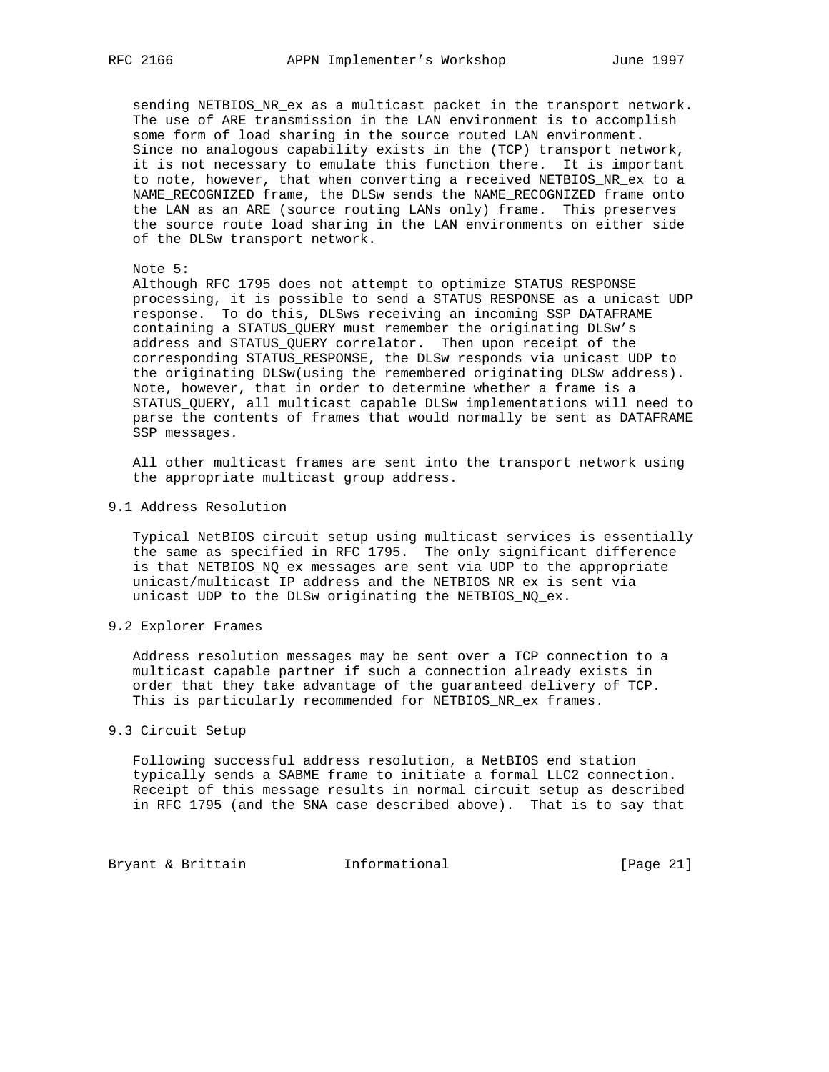sending NETBIOS\_NR\_ex as a multicast packet in the transport network. The use of ARE transmission in the LAN environment is to accomplish some form of load sharing in the source routed LAN environment. Since no analogous capability exists in the (TCP) transport network, it is not necessary to emulate this function there. It is important to note, however, that when converting a received NETBIOS\_NR\_ex to a NAME\_RECOGNIZED frame, the DLSw sends the NAME\_RECOGNIZED frame onto the LAN as an ARE (source routing LANs only) frame. This preserves the source route load sharing in the LAN environments on either side of the DLSw transport network.

Note 5:

 Although RFC 1795 does not attempt to optimize STATUS\_RESPONSE processing, it is possible to send a STATUS\_RESPONSE as a unicast UDP response. To do this, DLSws receiving an incoming SSP DATAFRAME containing a STATUS\_QUERY must remember the originating DLSw's address and STATUS\_QUERY correlator. Then upon receipt of the corresponding STATUS\_RESPONSE, the DLSw responds via unicast UDP to the originating DLSw(using the remembered originating DLSw address). Note, however, that in order to determine whether a frame is a STATUS\_QUERY, all multicast capable DLSw implementations will need to parse the contents of frames that would normally be sent as DATAFRAME SSP messages.

 All other multicast frames are sent into the transport network using the appropriate multicast group address.

## 9.1 Address Resolution

 Typical NetBIOS circuit setup using multicast services is essentially the same as specified in RFC 1795. The only significant difference is that NETBIOS\_NQ\_ex messages are sent via UDP to the appropriate unicast/multicast IP address and the NETBIOS\_NR\_ex is sent via unicast UDP to the DLSw originating the NETBIOS\_NQ\_ex.

9.2 Explorer Frames

 Address resolution messages may be sent over a TCP connection to a multicast capable partner if such a connection already exists in order that they take advantage of the guaranteed delivery of TCP. This is particularly recommended for NETBIOS\_NR\_ex frames.

## 9.3 Circuit Setup

 Following successful address resolution, a NetBIOS end station typically sends a SABME frame to initiate a formal LLC2 connection. Receipt of this message results in normal circuit setup as described in RFC 1795 (and the SNA case described above). That is to say that

Bryant & Brittain **Informational** [Page 21]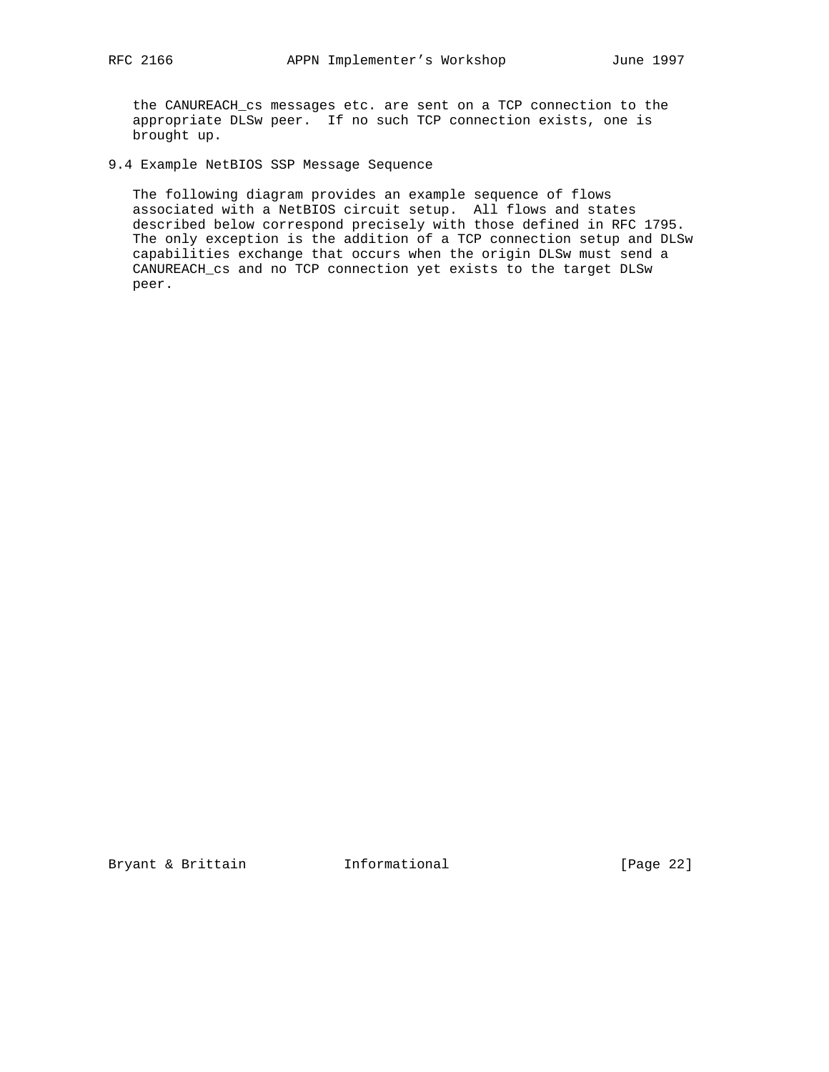the CANUREACH\_cs messages etc. are sent on a TCP connection to the appropriate DLSw peer. If no such TCP connection exists, one is brought up.

9.4 Example NetBIOS SSP Message Sequence

 The following diagram provides an example sequence of flows associated with a NetBIOS circuit setup. All flows and states described below correspond precisely with those defined in RFC 1795. The only exception is the addition of a TCP connection setup and DLSw capabilities exchange that occurs when the origin DLSw must send a CANUREACH\_cs and no TCP connection yet exists to the target DLSw peer.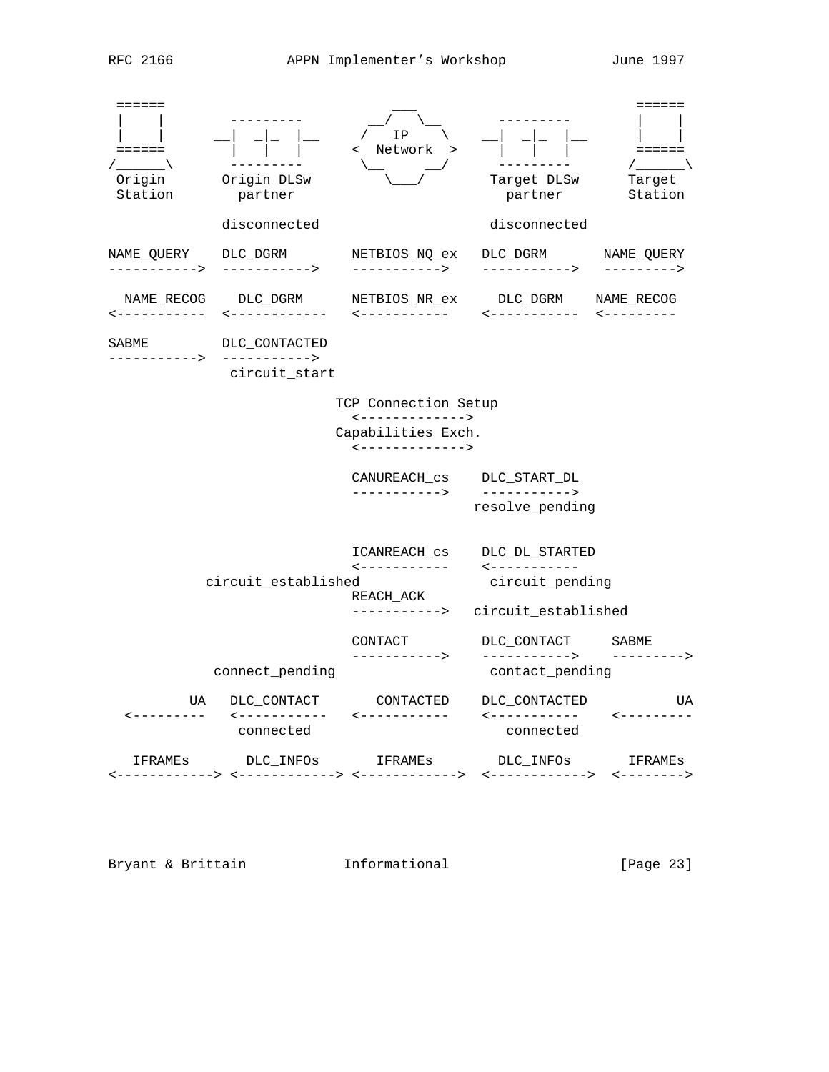| ======<br>======<br>Origin<br>Station | Origin DLSw<br>partner                          | ΙP<br>Network                                             | Target DLSw<br>partner                                                              | ======<br>$=$ $=$ $=$ $=$ $=$<br>Tarqet<br>Station |
|---------------------------------------|-------------------------------------------------|-----------------------------------------------------------|-------------------------------------------------------------------------------------|----------------------------------------------------|
|                                       | disconnected                                    |                                                           | disconnected                                                                        |                                                    |
| NAME_QUERY<br>$-------->$             | DLC_DGRM<br>--------->                          | NETBIOS_NQ_ex<br>----------->                             | DLC_DGRM<br>--------->                                                              | NAME_QUERY<br>--------->                           |
| NAME_RECOG<br><-----------            | DLC_DGRM<br>$-$ -----------                     | NETBIOS_NR_ex<br><-----------                             | DLC_DGRM<br>------------                                                            | NAME RECOG<br>$- - - - - - - - - - -$              |
| SABME<br>------->                     | DLC_CONTACTED<br>-----------><br>circuit start  |                                                           |                                                                                     |                                                    |
|                                       |                                                 | TCP Connection Setup<br>$\leftarrow$ ------------->       |                                                                                     |                                                    |
|                                       |                                                 | Capabilities Exch.<br><------------->                     |                                                                                     |                                                    |
|                                       |                                                 | CANUREACH cs<br>---------->                               | DLC_START_DL<br>-----------><br>resolve_pending                                     |                                                    |
|                                       | circuit_established                             | ICANREACH cs<br><-----------<br>REACH_ACK<br>-----------> | DLC_DL_STARTED<br>$- - - - - - - - - - -$<br>circuit_pending<br>circuit_established |                                                    |
|                                       | connect_pending                                 | CONTACT<br>$------&>$                                     | DLC_CONTACT<br>-----------><br>contact_pending                                      | SABME<br>----->                                    |
| UA<br>----------                      | DLC_CONTACT<br>$\leftarrow$ - - - - - - - - - - | CONTACTED<br>$- - - - - - - - - - -$                      | DLC_CONTACTED<br><-----------                                                       | UA<br>----------                                   |
| IFRAMES                               | connected<br>DLC INFOS                          | IFRAMEs                                                   | connected<br>DLC_INFOs<br>$\leftarrow$ - - - - - - - - - - >                        | IFRAMEs<br>$\leftarrow$ - - - - - - - >            |

Bryant & Brittain **Informational Informational** [Page 23]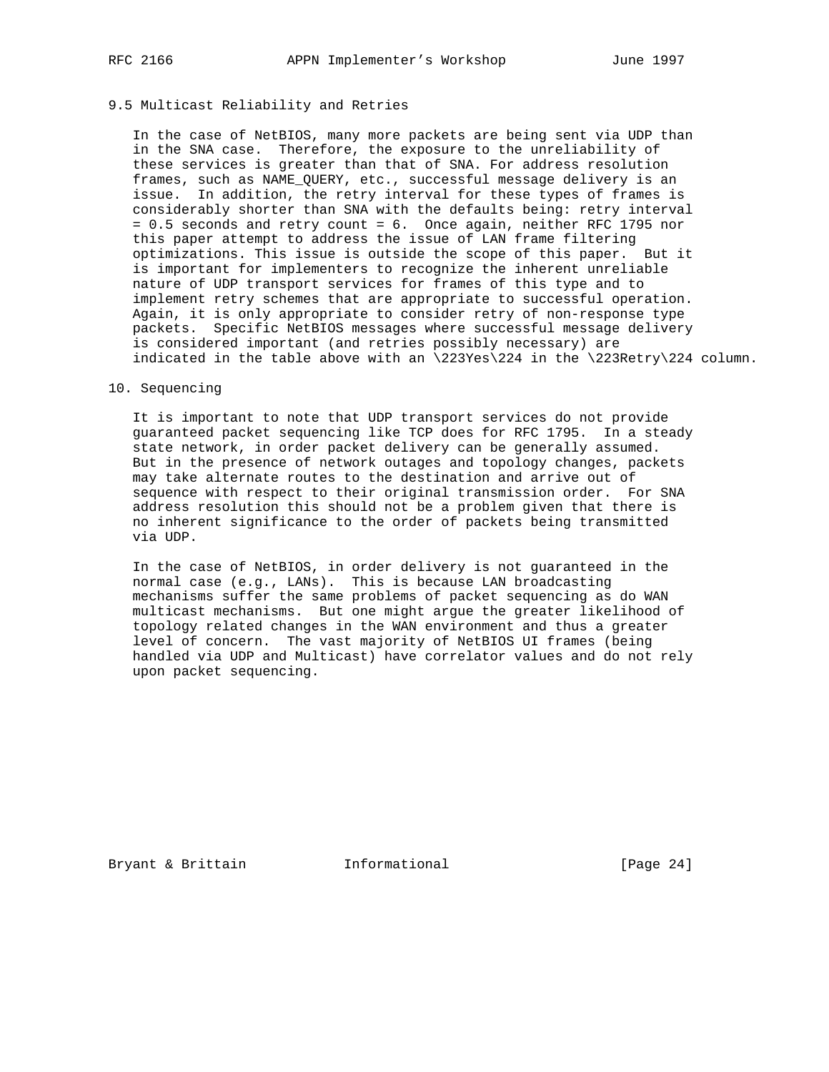# 9.5 Multicast Reliability and Retries

 In the case of NetBIOS, many more packets are being sent via UDP than in the SNA case. Therefore, the exposure to the unreliability of these services is greater than that of SNA. For address resolution frames, such as NAME\_QUERY, etc., successful message delivery is an issue. In addition, the retry interval for these types of frames is considerably shorter than SNA with the defaults being: retry interval = 0.5 seconds and retry count = 6. Once again, neither RFC 1795 nor this paper attempt to address the issue of LAN frame filtering optimizations. This issue is outside the scope of this paper. But it is important for implementers to recognize the inherent unreliable nature of UDP transport services for frames of this type and to implement retry schemes that are appropriate to successful operation. Again, it is only appropriate to consider retry of non-response type packets. Specific NetBIOS messages where successful message delivery is considered important (and retries possibly necessary) are indicated in the table above with an \223Yes\224 in the \223Retry\224 column.

## 10. Sequencing

 It is important to note that UDP transport services do not provide guaranteed packet sequencing like TCP does for RFC 1795. In a steady state network, in order packet delivery can be generally assumed. But in the presence of network outages and topology changes, packets may take alternate routes to the destination and arrive out of sequence with respect to their original transmission order. For SNA address resolution this should not be a problem given that there is no inherent significance to the order of packets being transmitted via UDP.

 In the case of NetBIOS, in order delivery is not guaranteed in the normal case (e.g., LANs). This is because LAN broadcasting mechanisms suffer the same problems of packet sequencing as do WAN multicast mechanisms. But one might argue the greater likelihood of topology related changes in the WAN environment and thus a greater level of concern. The vast majority of NetBIOS UI frames (being handled via UDP and Multicast) have correlator values and do not rely upon packet sequencing.

Bryant & Brittain **Informational** [Page 24]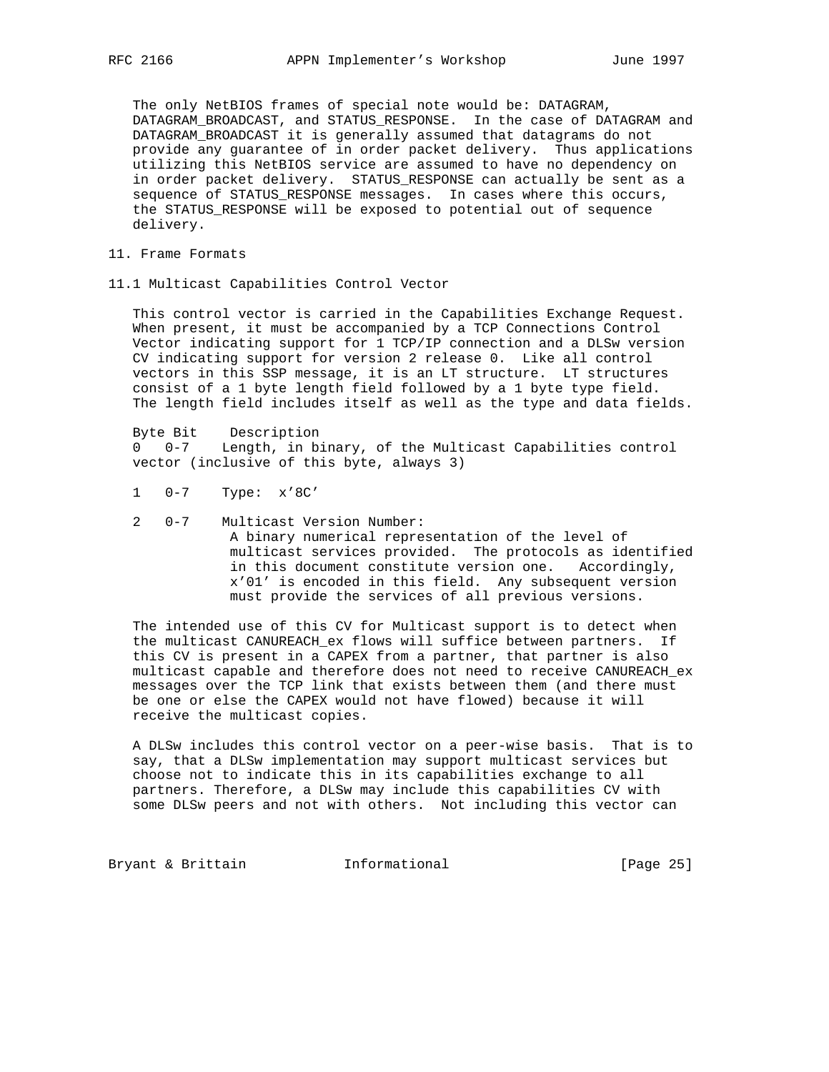The only NetBIOS frames of special note would be: DATAGRAM, DATAGRAM\_BROADCAST, and STATUS\_RESPONSE. In the case of DATAGRAM and DATAGRAM\_BROADCAST it is generally assumed that datagrams do not provide any guarantee of in order packet delivery. Thus applications utilizing this NetBIOS service are assumed to have no dependency on in order packet delivery. STATUS\_RESPONSE can actually be sent as a sequence of STATUS\_RESPONSE messages. In cases where this occurs, the STATUS\_RESPONSE will be exposed to potential out of sequence delivery.

- 11. Frame Formats
- 11.1 Multicast Capabilities Control Vector

 This control vector is carried in the Capabilities Exchange Request. When present, it must be accompanied by a TCP Connections Control Vector indicating support for 1 TCP/IP connection and a DLSw version CV indicating support for version 2 release 0. Like all control vectors in this SSP message, it is an LT structure. LT structures consist of a 1 byte length field followed by a 1 byte type field. The length field includes itself as well as the type and data fields.

 Byte Bit Description 0 0-7 Length, in binary, of the Multicast Capabilities control vector (inclusive of this byte, always 3)

- 1 0-7 Type: x'8C'
- 2 0-7 Multicast Version Number: A binary numerical representation of the level of multicast services provided. The protocols as identified in this document constitute version one. Accordingly, x'01' is encoded in this field. Any subsequent version must provide the services of all previous versions.

 The intended use of this CV for Multicast support is to detect when the multicast CANUREACH\_ex flows will suffice between partners. If this CV is present in a CAPEX from a partner, that partner is also multicast capable and therefore does not need to receive CANUREACH\_ex messages over the TCP link that exists between them (and there must be one or else the CAPEX would not have flowed) because it will receive the multicast copies.

 A DLSw includes this control vector on a peer-wise basis. That is to say, that a DLSw implementation may support multicast services but choose not to indicate this in its capabilities exchange to all partners. Therefore, a DLSw may include this capabilities CV with some DLSw peers and not with others. Not including this vector can

Bryant & Brittain **Informational** [Page 25]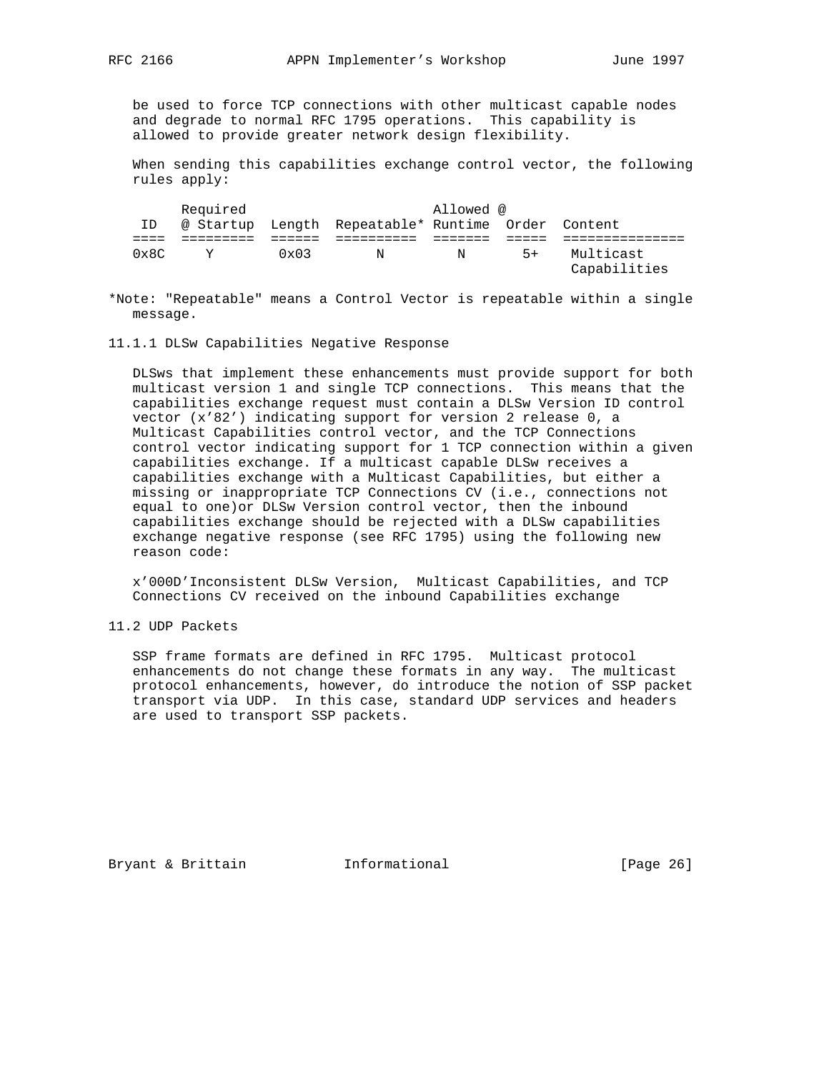be used to force TCP connections with other multicast capable nodes and degrade to normal RFC 1795 operations. This capability is allowed to provide greater network design flexibility.

 When sending this capabilities exchange control vector, the following rules apply:

| Required      |           |               | Allowed @                                |   |      |                           |
|---------------|-----------|---------------|------------------------------------------|---|------|---------------------------|
| ΙD            | @ Startup |               | Length Repeatable* Runtime Order Content |   |      |                           |
|               |           |               |                                          |   |      |                           |
| $0 \times 8C$ | Y         | $0 \times 03$ | N                                        | N | $5+$ | Multicast<br>Capabilities |

\*Note: "Repeatable" means a Control Vector is repeatable within a single message.

11.1.1 DLSw Capabilities Negative Response

 DLSws that implement these enhancements must provide support for both multicast version 1 and single TCP connections. This means that the capabilities exchange request must contain a DLSw Version ID control vector (x'82') indicating support for version 2 release 0, a Multicast Capabilities control vector, and the TCP Connections control vector indicating support for 1 TCP connection within a given capabilities exchange. If a multicast capable DLSw receives a capabilities exchange with a Multicast Capabilities, but either a missing or inappropriate TCP Connections CV (i.e., connections not equal to one)or DLSw Version control vector, then the inbound capabilities exchange should be rejected with a DLSw capabilities exchange negative response (see RFC 1795) using the following new reason code:

 x'000D'Inconsistent DLSw Version, Multicast Capabilities, and TCP Connections CV received on the inbound Capabilities exchange

11.2 UDP Packets

 SSP frame formats are defined in RFC 1795. Multicast protocol enhancements do not change these formats in any way. The multicast protocol enhancements, however, do introduce the notion of SSP packet transport via UDP. In this case, standard UDP services and headers are used to transport SSP packets.

Bryant & Brittain **Informational** [Page 26]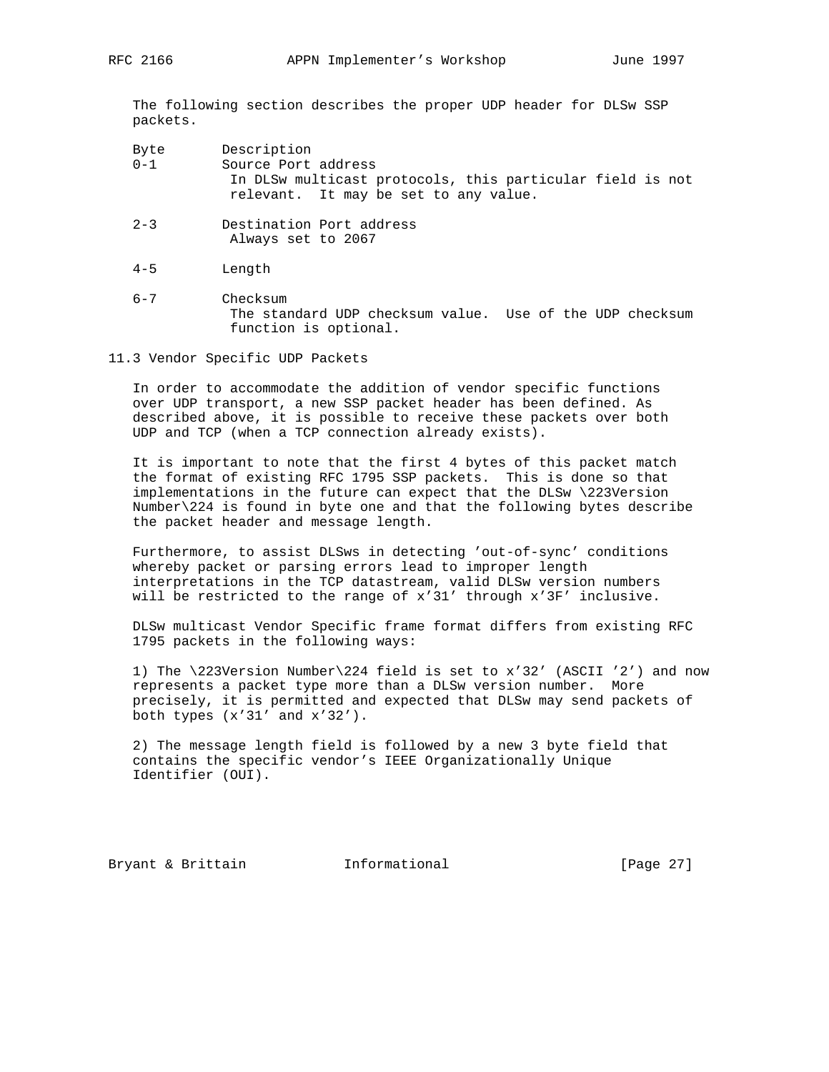The following section describes the proper UDP header for DLSw SSP packets.

| Byte    | Description                                               |
|---------|-----------------------------------------------------------|
| $0 - 1$ | Source Port address                                       |
|         | In DLSw multicast protocols, this particular field is not |
|         | relevant. It may be set to any value.                     |

- 2-3 Destination Port address Always set to 2067
- 4-5 Length
- 6-7 Checksum The standard UDP checksum value. Use of the UDP checksum function is optional.
- 11.3 Vendor Specific UDP Packets

 In order to accommodate the addition of vendor specific functions over UDP transport, a new SSP packet header has been defined. As described above, it is possible to receive these packets over both UDP and TCP (when a TCP connection already exists).

 It is important to note that the first 4 bytes of this packet match the format of existing RFC 1795 SSP packets. This is done so that implementations in the future can expect that the DLSw \223Version Number\224 is found in byte one and that the following bytes describe the packet header and message length.

 Furthermore, to assist DLSws in detecting 'out-of-sync' conditions whereby packet or parsing errors lead to improper length interpretations in the TCP datastream, valid DLSw version numbers will be restricted to the range of x'31' through x'3F' inclusive.

 DLSw multicast Vendor Specific frame format differs from existing RFC 1795 packets in the following ways:

 1) The \223Version Number\224 field is set to x'32' (ASCII '2') and now represents a packet type more than a DLSw version number. More precisely, it is permitted and expected that DLSw may send packets of both types (x'31' and x'32').

 2) The message length field is followed by a new 3 byte field that contains the specific vendor's IEEE Organizationally Unique Identifier (OUI).

Bryant & Brittain **Informational** [Page 27]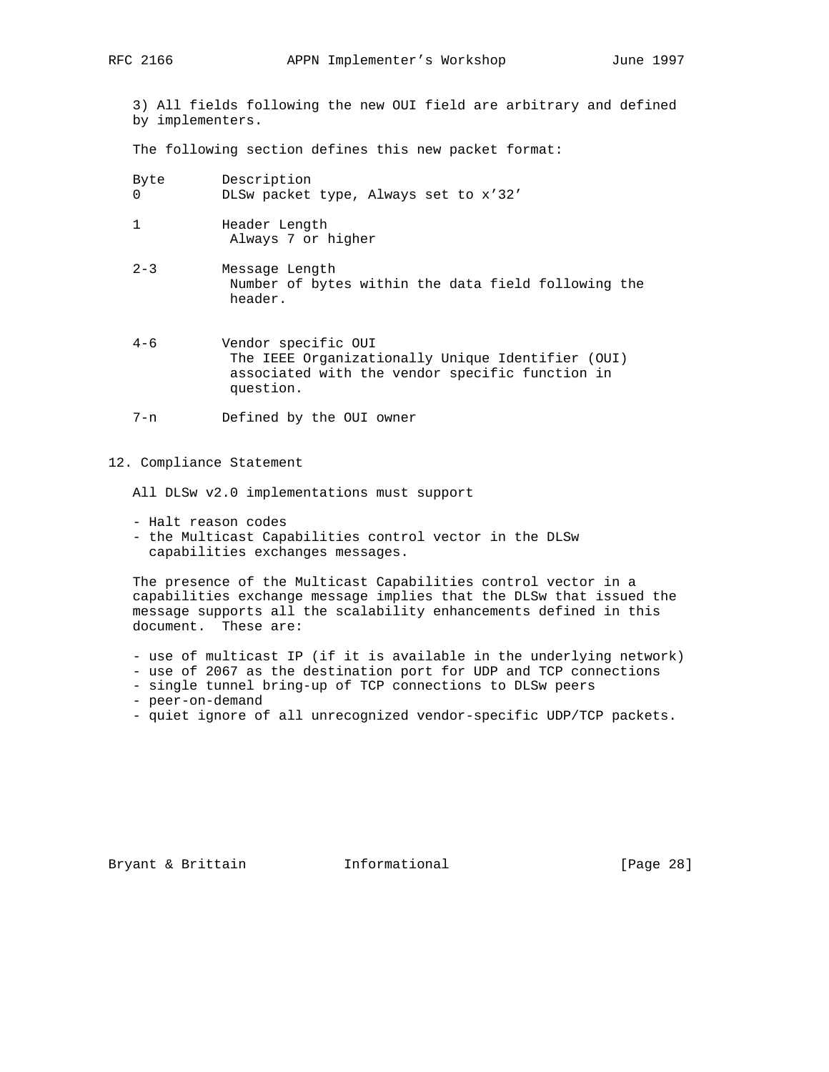3) All fields following the new OUI field are arbitrary and defined by implementers.

The following section defines this new packet format:

| Byte | Description                           |
|------|---------------------------------------|
|      | DLSw packet type, Always set to x'32' |
|      |                                       |

- 1 Header Length Always 7 or higher
- 2-3 Message Length Number of bytes within the data field following the header.
- 4-6 Vendor specific OUI The IEEE Organizationally Unique Identifier (OUI) associated with the vendor specific function in question.
- 7-n Defined by the OUI owner

## 12. Compliance Statement

All DLSw v2.0 implementations must support

- Halt reason codes
- the Multicast Capabilities control vector in the DLSw capabilities exchanges messages.

 The presence of the Multicast Capabilities control vector in a capabilities exchange message implies that the DLSw that issued the message supports all the scalability enhancements defined in this document. These are:

- use of multicast IP (if it is available in the underlying network)
- use of 2067 as the destination port for UDP and TCP connections
- single tunnel bring-up of TCP connections to DLSw peers
- peer-on-demand
- quiet ignore of all unrecognized vendor-specific UDP/TCP packets.

Bryant & Brittain **Informational** [Page 28]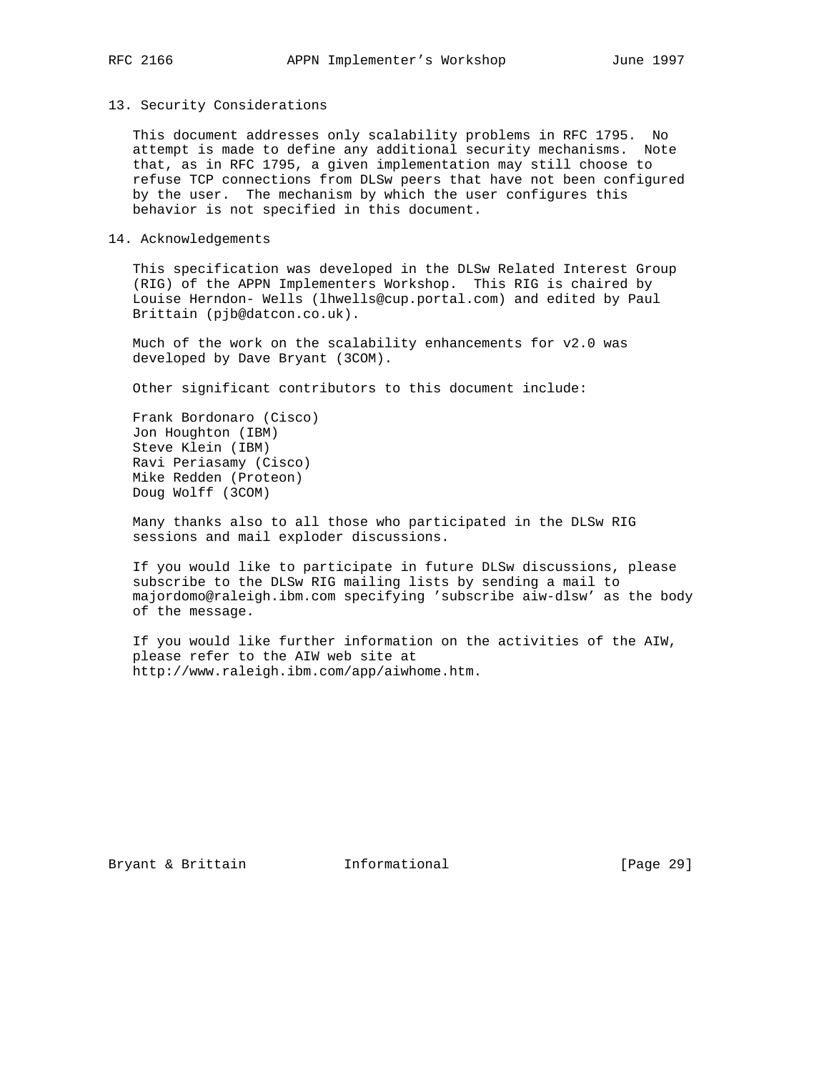## 13. Security Considerations

 This document addresses only scalability problems in RFC 1795. No attempt is made to define any additional security mechanisms. Note that, as in RFC 1795, a given implementation may still choose to refuse TCP connections from DLSw peers that have not been configured by the user. The mechanism by which the user configures this behavior is not specified in this document.

## 14. Acknowledgements

 This specification was developed in the DLSw Related Interest Group (RIG) of the APPN Implementers Workshop. This RIG is chaired by Louise Herndon- Wells (lhwells@cup.portal.com) and edited by Paul Brittain (pjb@datcon.co.uk).

 Much of the work on the scalability enhancements for v2.0 was developed by Dave Bryant (3COM).

Other significant contributors to this document include:

 Frank Bordonaro (Cisco) Jon Houghton (IBM) Steve Klein (IBM) Ravi Periasamy (Cisco) Mike Redden (Proteon) Doug Wolff (3COM)

 Many thanks also to all those who participated in the DLSw RIG sessions and mail exploder discussions.

 If you would like to participate in future DLSw discussions, please subscribe to the DLSw RIG mailing lists by sending a mail to majordomo@raleigh.ibm.com specifying 'subscribe aiw-dlsw' as the body of the message.

 If you would like further information on the activities of the AIW, please refer to the AIW web site at http://www.raleigh.ibm.com/app/aiwhome.htm.

Bryant & Brittain **Informational** [Page 29]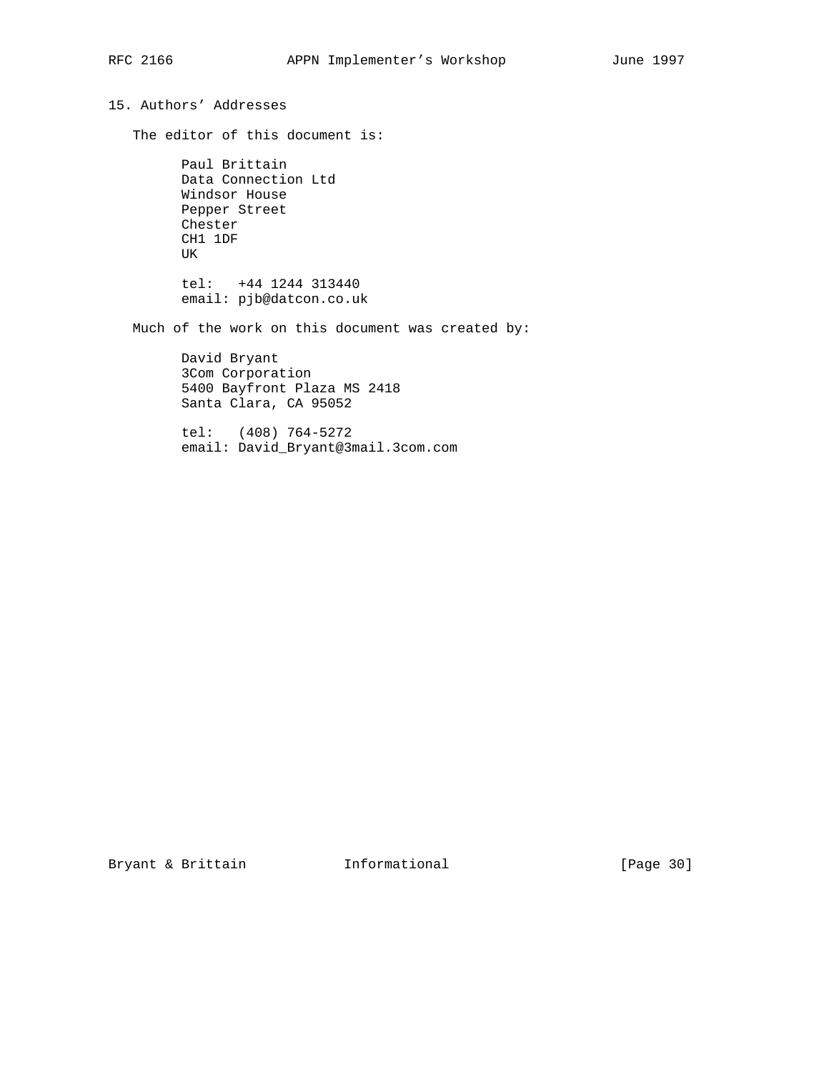# 15. Authors' Addresses

The editor of this document is:

 Paul Brittain Data Connection Ltd Windsor House Pepper Street Chester CH1 1DF UK tel: +44 1244 313440

email: pjb@datcon.co.uk

Much of the work on this document was created by:

 David Bryant 3Com Corporation 5400 Bayfront Plaza MS 2418 Santa Clara, CA 95052

 tel: (408) 764-5272 email: David\_Bryant@3mail.3com.com

Bryant & Brittain **Informational** [Page 30]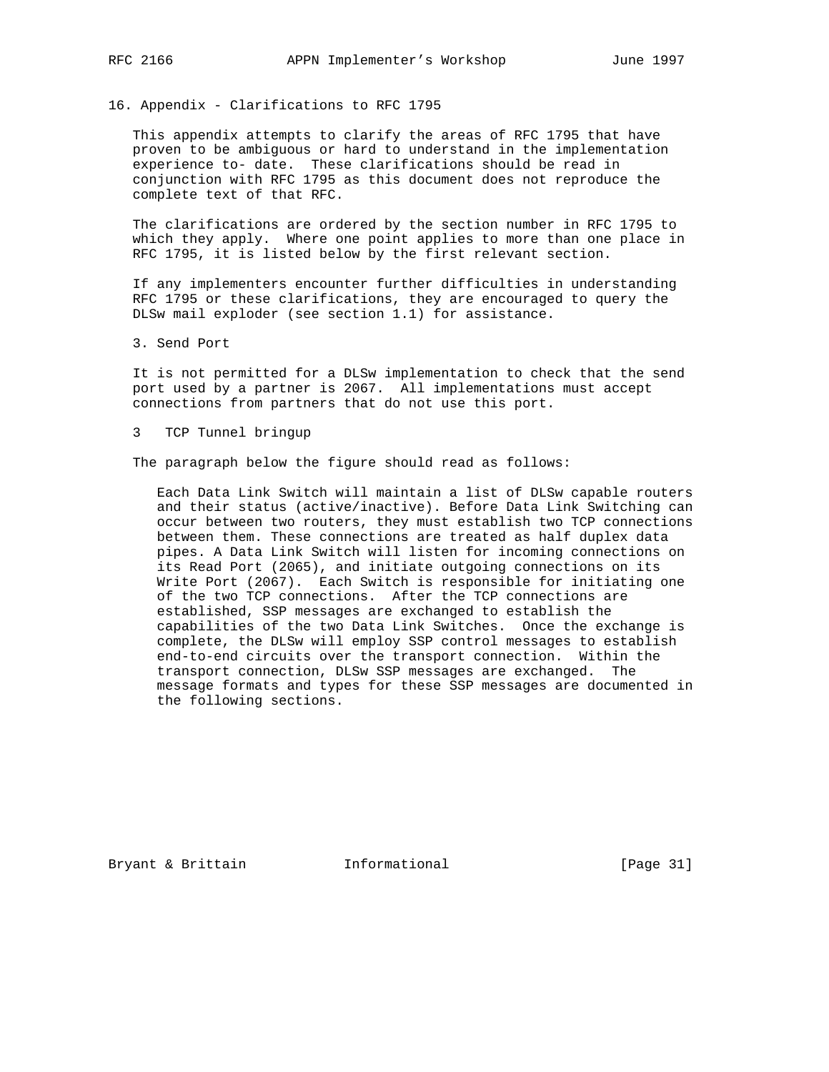16. Appendix - Clarifications to RFC 1795

 This appendix attempts to clarify the areas of RFC 1795 that have proven to be ambiguous or hard to understand in the implementation experience to- date. These clarifications should be read in conjunction with RFC 1795 as this document does not reproduce the complete text of that RFC.

 The clarifications are ordered by the section number in RFC 1795 to which they apply. Where one point applies to more than one place in RFC 1795, it is listed below by the first relevant section.

 If any implementers encounter further difficulties in understanding RFC 1795 or these clarifications, they are encouraged to query the DLSw mail exploder (see section 1.1) for assistance.

3. Send Port

 It is not permitted for a DLSw implementation to check that the send port used by a partner is 2067. All implementations must accept connections from partners that do not use this port.

3 TCP Tunnel bringup

The paragraph below the figure should read as follows:

 Each Data Link Switch will maintain a list of DLSw capable routers and their status (active/inactive). Before Data Link Switching can occur between two routers, they must establish two TCP connections between them. These connections are treated as half duplex data pipes. A Data Link Switch will listen for incoming connections on its Read Port (2065), and initiate outgoing connections on its Write Port (2067). Each Switch is responsible for initiating one of the two TCP connections. After the TCP connections are established, SSP messages are exchanged to establish the capabilities of the two Data Link Switches. Once the exchange is complete, the DLSw will employ SSP control messages to establish end-to-end circuits over the transport connection. Within the transport connection, DLSw SSP messages are exchanged. The message formats and types for these SSP messages are documented in the following sections.

Bryant & Brittain **Informational** [Page 31]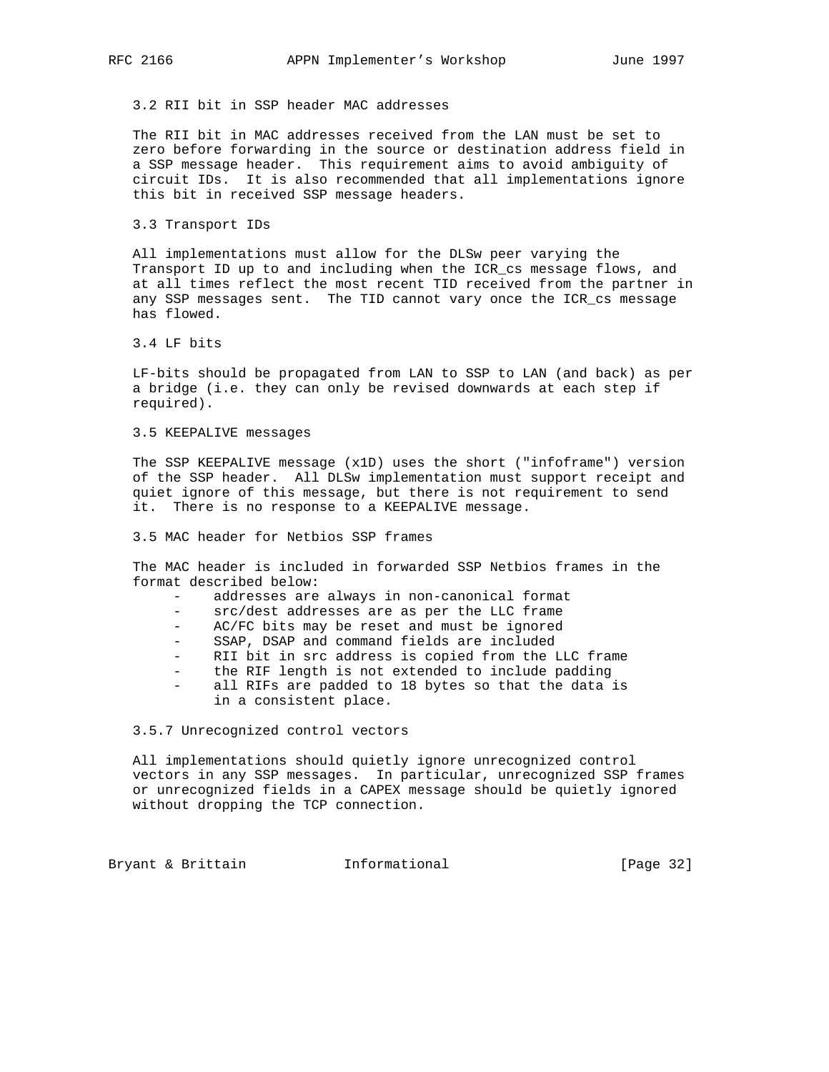3.2 RII bit in SSP header MAC addresses

 The RII bit in MAC addresses received from the LAN must be set to zero before forwarding in the source or destination address field in a SSP message header. This requirement aims to avoid ambiguity of circuit IDs. It is also recommended that all implementations ignore this bit in received SSP message headers.

3.3 Transport IDs

 All implementations must allow for the DLSw peer varying the Transport ID up to and including when the ICR\_cs message flows, and at all times reflect the most recent TID received from the partner in any SSP messages sent. The TID cannot vary once the ICR\_cs message has flowed.

## 3.4 LF bits

 LF-bits should be propagated from LAN to SSP to LAN (and back) as per a bridge (i.e. they can only be revised downwards at each step if required).

## 3.5 KEEPALIVE messages

 The SSP KEEPALIVE message (x1D) uses the short ("infoframe") version of the SSP header. All DLSw implementation must support receipt and quiet ignore of this message, but there is not requirement to send it. There is no response to a KEEPALIVE message.

3.5 MAC header for Netbios SSP frames

 The MAC header is included in forwarded SSP Netbios frames in the format described below:

- addresses are always in non-canonical format
- src/dest addresses are as per the LLC frame
- AC/FC bits may be reset and must be ignored
- SSAP, DSAP and command fields are included
- RII bit in src address is copied from the LLC frame
- the RIF length is not extended to include padding
- all RIFs are padded to 18 bytes so that the data is in a consistent place.

## 3.5.7 Unrecognized control vectors

 All implementations should quietly ignore unrecognized control vectors in any SSP messages. In particular, unrecognized SSP frames or unrecognized fields in a CAPEX message should be quietly ignored without dropping the TCP connection.

Bryant & Brittain **Informational** [Page 32]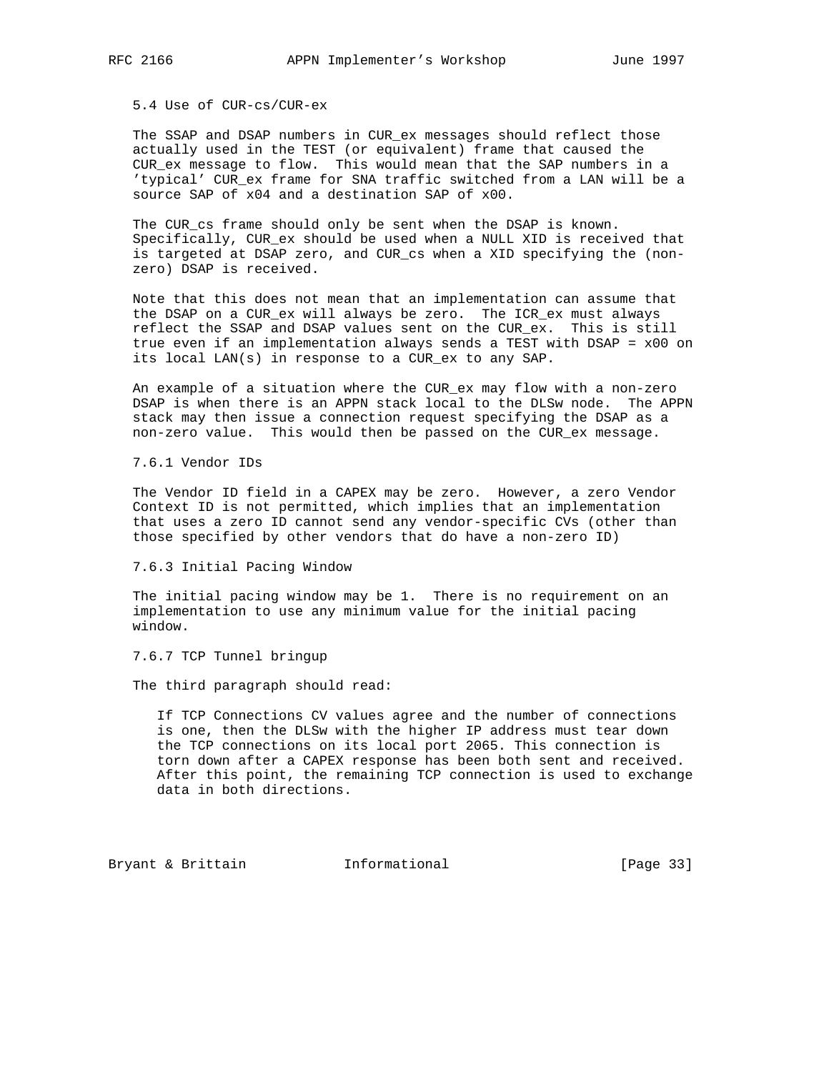## 5.4 Use of CUR-cs/CUR-ex

 The SSAP and DSAP numbers in CUR\_ex messages should reflect those actually used in the TEST (or equivalent) frame that caused the CUR\_ex message to flow. This would mean that the SAP numbers in a 'typical' CUR\_ex frame for SNA traffic switched from a LAN will be a source SAP of x04 and a destination SAP of x00.

 The CUR\_cs frame should only be sent when the DSAP is known. Specifically, CUR\_ex should be used when a NULL XID is received that is targeted at DSAP zero, and CUR\_cs when a XID specifying the (non zero) DSAP is received.

 Note that this does not mean that an implementation can assume that the DSAP on a CUR\_ex will always be zero. The ICR\_ex must always reflect the SSAP and DSAP values sent on the CUR\_ex. This is still true even if an implementation always sends a TEST with DSAP = x00 on its local LAN(s) in response to a CUR\_ex to any SAP.

 An example of a situation where the CUR\_ex may flow with a non-zero DSAP is when there is an APPN stack local to the DLSw node. The APPN stack may then issue a connection request specifying the DSAP as a non-zero value. This would then be passed on the CUR\_ex message.

7.6.1 Vendor IDs

 The Vendor ID field in a CAPEX may be zero. However, a zero Vendor Context ID is not permitted, which implies that an implementation that uses a zero ID cannot send any vendor-specific CVs (other than those specified by other vendors that do have a non-zero ID)

7.6.3 Initial Pacing Window

The initial pacing window may be 1. There is no requirement on an implementation to use any minimum value for the initial pacing window.

7.6.7 TCP Tunnel bringup

The third paragraph should read:

 If TCP Connections CV values agree and the number of connections is one, then the DLSw with the higher IP address must tear down the TCP connections on its local port 2065. This connection is torn down after a CAPEX response has been both sent and received. After this point, the remaining TCP connection is used to exchange data in both directions.

Bryant & Brittain **Informational** [Page 33]